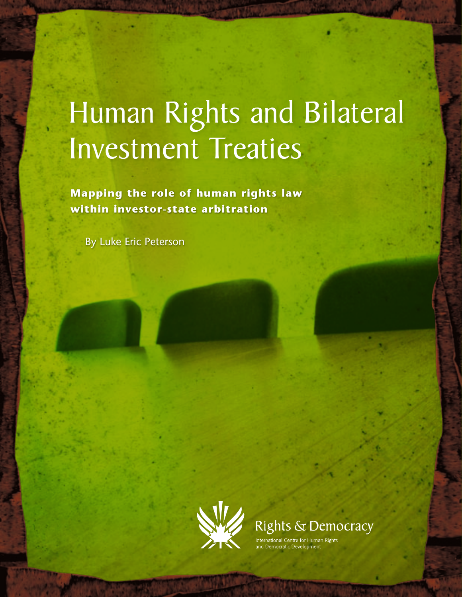# Human Rights and Bilateral Investment Treaties

**Mapping the role of human rights law within investor-state arbitration**

By Luke Eric Peterson



Rights & Democracy

Centre for Human Right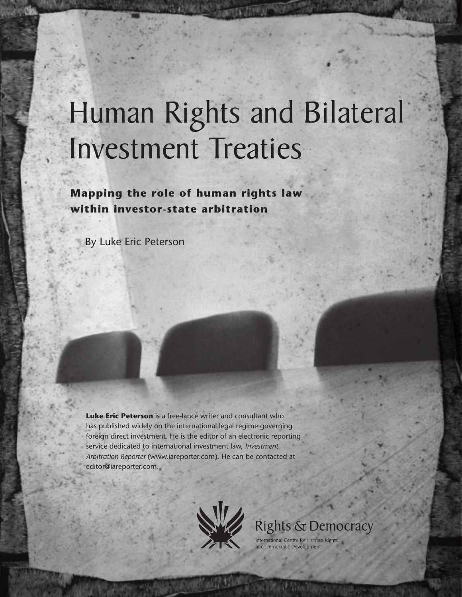# Human Rights and Bilateral Investment Treaties

**Mapping the role of human rights law within investor-state arbitration**

By Luke Eric Peterson

**Luke Eric Peterson** is a free-lance writer and consultant who has published widely on the international legal regime governing foreign direct investment. He is the editor of an electronic reporting service dedicated to international investment law, *Investment Arbitration Reporter* (www.iareporter.com). He can be contacted at editor@iareporter.com.



Rights & Democracy

International Centre for Human Rights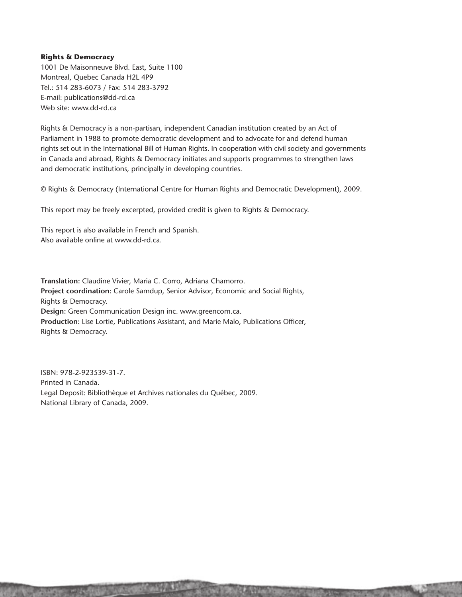#### **Rights & Democracy**

1001 De Maisonneuve Blvd. East, Suite 1100 Montreal, Quebec Canada H2L 4P9 Tel.: 514 283-6073 / Fax: 514 283-3792 E-mail: publications@dd-rd.ca Web site: www.dd-rd.ca

Rights & Democracy is a non-partisan, independent Canadian institution created by an Act of Parliament in 1988 to promote democratic development and to advocate for and defend human rights set out in the International Bill of Human Rights. In cooperation with civil society and governments in Canada and abroad, Rights & Democracy initiates and supports programmes to strengthen laws and democratic institutions, principally in developing countries.

© Rights & Democracy (International Centre for Human Rights and Democratic Development), 2009.

This report may be freely excerpted, provided credit is given to Rights & Democracy.

This report is also available in French and Spanish. Also available online at www.dd-rd.ca.

**Translation:** Claudine Vivier, Maria C. Corro, Adriana Chamorro. **Project coordination:** Carole Samdup, Senior Advisor, Economic and Social Rights, Rights & Democracy. **Design:** Green Communication Design inc. www.greencom.ca. **Production:** Lise Lortie, Publications Assistant, and Marie Malo, Publications Officer, Rights & Democracy.

ISBN: 978-2-923539-31-7. Printed in Canada. Legal Deposit: Bibliothèque et Archives nationales du Québec, 2009. National Library of Canada, 2009.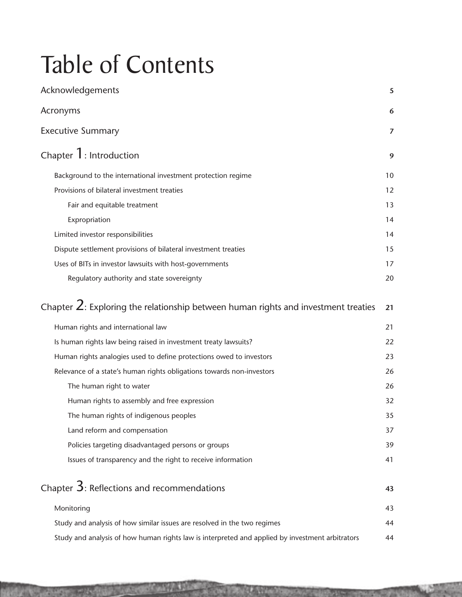## Table of Contents

| Acknowledgements                                                                                |                |  |
|-------------------------------------------------------------------------------------------------|----------------|--|
| Acronyms                                                                                        | 6              |  |
| <b>Executive Summary</b>                                                                        | $\overline{7}$ |  |
| Chapter $1$ : Introduction                                                                      | 9              |  |
| Background to the international investment protection regime                                    | 10             |  |
| Provisions of bilateral investment treaties                                                     | 12             |  |
| Fair and equitable treatment                                                                    | 13             |  |
| Expropriation                                                                                   | 14             |  |
| Limited investor responsibilities                                                               | 14             |  |
| Dispute settlement provisions of bilateral investment treaties                                  | 15             |  |
| Uses of BITs in investor lawsuits with host-governments                                         | 17             |  |
| Regulatory authority and state sovereignty                                                      | 20             |  |
| Chapter $2$ : Exploring the relationship between human rights and investment treaties           | 21             |  |
| Human rights and international law                                                              | 21             |  |
| Is human rights law being raised in investment treaty lawsuits?                                 | 22             |  |
| Human rights analogies used to define protections owed to investors                             | 23             |  |
| Relevance of a state's human rights obligations towards non-investors                           | 26             |  |
| The human right to water                                                                        | 26             |  |
| Human rights to assembly and free expression                                                    | 32             |  |
| The human rights of indigenous peoples                                                          | 35             |  |
| Land reform and compensation                                                                    | 37             |  |
| Policies targeting disadvantaged persons or groups                                              | 39             |  |
| Issues of transparency and the right to receive information                                     | 41             |  |
| Chapter $\mathsf{3}$ : Reflections and recommendations                                          | 43             |  |
| Monitoring                                                                                      | 43             |  |
| Study and analysis of how similar issues are resolved in the two regimes                        | 44             |  |
| Study and analysis of how human rights law is interpreted and applied by investment arbitrators | 44             |  |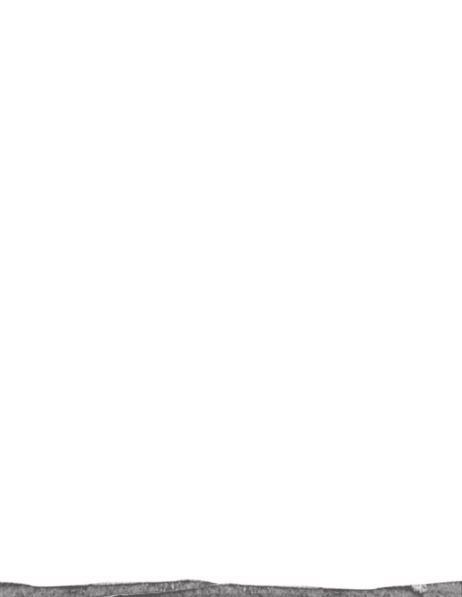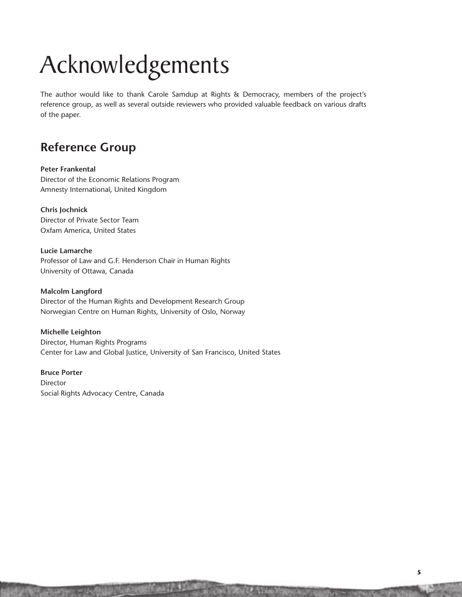# Acknowledgements

The author would like to thank Carole Samdup at Rights & Democracy, members of the project's reference group, as well as several outside reviewers who provided valuable feedback on various drafts of the paper.

## **Reference Group**

### **Peter Frankental**

Director of the Economic Relations Program Amnesty International, United Kingdom

### **Chris Jochnick**

Director of Private Sector Team Oxfam America, United States

**Lucie Lamarche** Professor of Law and G.F. Henderson Chair in Human Rights University of Ottawa, Canada

**Malcolm Langford** Director of the Human Rights and Development Research Group Norwegian Centre on Human Rights, University of Oslo, Norway

**Michelle Leighton** Director, Human Rights Programs Center for Law and Global Justice, University of San Francisco, United States

**Bruce Porter** Director Social Rights Advocacy Centre, Canada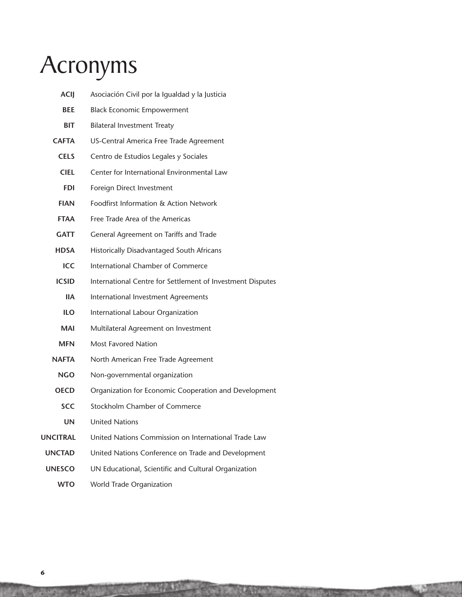## Acronyms

| <b>ACIJ</b>     | Asociación Civil por la Igualdad y la Justicia             |  |
|-----------------|------------------------------------------------------------|--|
| <b>BEE</b>      | <b>Black Economic Empowerment</b>                          |  |
| <b>BIT</b>      | <b>Bilateral Investment Treaty</b>                         |  |
| <b>CAFTA</b>    | US-Central America Free Trade Agreement                    |  |
| <b>CELS</b>     | Centro de Estudios Legales y Sociales                      |  |
| <b>CIEL</b>     | Center for International Environmental Law                 |  |
| <b>FDI</b>      | Foreign Direct Investment                                  |  |
| <b>FIAN</b>     | Foodfirst Information & Action Network                     |  |
| <b>FTAA</b>     | Free Trade Area of the Americas                            |  |
| <b>GATT</b>     | General Agreement on Tariffs and Trade                     |  |
| <b>HDSA</b>     | Historically Disadvantaged South Africans                  |  |
| <b>ICC</b>      | International Chamber of Commerce                          |  |
| <b>ICSID</b>    | International Centre for Settlement of Investment Disputes |  |
| <b>IIA</b>      | International Investment Agreements                        |  |
| <b>ILO</b>      | International Labour Organization                          |  |
| <b>MAI</b>      | Multilateral Agreement on Investment                       |  |
| <b>MFN</b>      | <b>Most Favored Nation</b>                                 |  |
| <b>NAFTA</b>    | North American Free Trade Agreement                        |  |
| <b>NGO</b>      | Non-governmental organization                              |  |
| <b>OECD</b>     | Organization for Economic Cooperation and Development      |  |
| <b>SCC</b>      | Stockholm Chamber of Commerce                              |  |
| <b>UN</b>       | <b>United Nations</b>                                      |  |
| <b>UNCITRAL</b> | United Nations Commission on International Trade Law       |  |
| <b>UNCTAD</b>   | United Nations Conference on Trade and Development         |  |
| <b>UNESCO</b>   | UN Educational, Scientific and Cultural Organization       |  |
| <b>WTO</b>      | World Trade Organization                                   |  |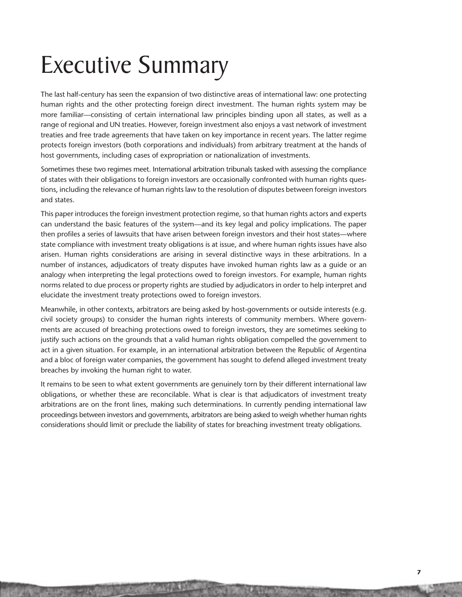## Executive Summary

The last half-century has seen the expansion of two distinctive areas of international law: one protecting human rights and the other protecting foreign direct investment. The human rights system may be more familiar—consisting of certain international law principles binding upon all states, as well as a range of regional and UN treaties. However, foreign investment also enjoys a vast network of investment treaties and free trade agreements that have taken on key importance in recent years. The latter regime protects foreign investors (both corporations and individuals) from arbitrary treatment at the hands of host governments, including cases of expropriation or nationalization of investments.

Sometimes these two regimes meet. International arbitration tribunals tasked with assessing the compliance of states with their obligations to foreign investors are occasionally confronted with human rights questions, including the relevance of human rights law to the resolution of disputes between foreign investors and states.

This paper introduces the foreign investment protection regime, so that human rights actors and experts can understand the basic features of the system—and its key legal and policy implications. The paper then profiles a series of lawsuits that have arisen between foreign investors and their host states—where state compliance with investment treaty obligations is at issue, and where human rights issues have also arisen. Human rights considerations are arising in several distinctive ways in these arbitrations. In a number of instances, adjudicators of treaty disputes have invoked human rights law as a guide or an analogy when interpreting the legal protections owed to foreign investors. For example, human rights norms related to due process or property rights are studied by adjudicators in order to help interpret and elucidate the investment treaty protections owed to foreign investors.

Meanwhile, in other contexts, arbitrators are being asked by host-governments or outside interests (e.g. civil society groups) to consider the human rights interests of community members. Where governments are accused of breaching protections owed to foreign investors, they are sometimes seeking to justify such actions on the grounds that a valid human rights obligation compelled the government to act in a given situation. For example, in an international arbitration between the Republic of Argentina and a bloc of foreign water companies, the government has sought to defend alleged investment treaty breaches by invoking the human right to water.

It remains to be seen to what extent governments are genuinely torn by their different international law obligations, or whether these are reconcilable. What is clear is that adjudicators of investment treaty arbitrations are on the front lines, making such determinations. In currently pending international law proceedings between investors and governments, arbitrators are being asked to weigh whether human rights considerations should limit or preclude the liability of states for breaching investment treaty obligations.

**7**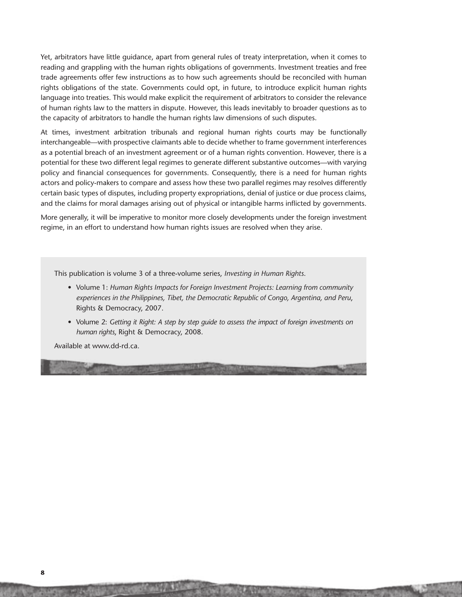Yet, arbitrators have little guidance, apart from general rules of treaty interpretation, when it comes to reading and grappling with the human rights obligations of governments. Investment treaties and free trade agreements offer few instructions as to how such agreements should be reconciled with human rights obligations of the state. Governments could opt, in future, to introduce explicit human rights language into treaties. This would make explicit the requirement of arbitrators to consider the relevance of human rights law to the matters in dispute. However, this leads inevitably to broader questions as to the capacity of arbitrators to handle the human rights law dimensions of such disputes.

At times, investment arbitration tribunals and regional human rights courts may be functionally interchangeable—with prospective claimants able to decide whether to frame government interferences as a potential breach of an investment agreement or of a human rights convention. However, there is a potential for these two different legal regimes to generate different substantive outcomes—with varying policy and financial consequences for governments. Consequently, there is a need for human rights actors and policy-makers to compare and assess how these two parallel regimes may resolves differently certain basic types of disputes, including property expropriations, denial of justice or due process claims, and the claims for moral damages arising out of physical or intangible harms inflicted by governments.

More generally, it will be imperative to monitor more closely developments under the foreign investment regime, in an effort to understand how human rights issues are resolved when they arise.

This publication is volume 3 of a three-volume series, *Investing in Human Rights*.

- • Volume 1: *Human Rights Impacts for Foreign Investment Projects: Learning from community experiences in the Philippines, Tibet, the Democratic Republic of Congo, Argentina, and Peru*, Rights & Democracy, 2007.
- • Volume 2: *Getting it Right: A step by step guide to assess the impact of foreign investments on human rights*, Right & Democracy, 2008.

Available at www.dd-rd.ca.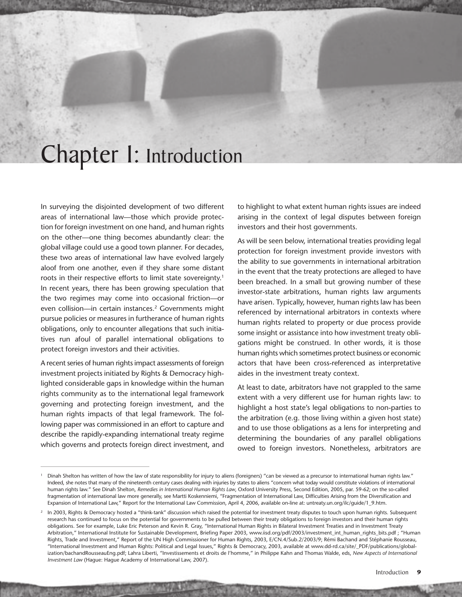## Chapter 1: Introduction

In surveying the disjointed development of two different areas of international law—those which provide protection for foreign investment on one hand, and human rights on the other—one thing becomes abundantly clear: the global village could use a good town planner. For decades, these two areas of international law have evolved largely aloof from one another, even if they share some distant roots in their respective efforts to limit state sovereignty.<sup>1</sup> In recent years, there has been growing speculation that the two regimes may come into occasional friction—or even collision—in certain instances.<sup>2</sup> Governments might pursue policies or measures in furtherance of human rights obligations, only to encounter allegations that such initiatives run afoul of parallel international obligations to protect foreign investors and their activities.

A recent series of human rights impact assessments of foreign investment projects initiated by Rights & Democracy highlighted considerable gaps in knowledge within the human rights community as to the international legal framework governing and protecting foreign investment, and the human rights impacts of that legal framework. The following paper was commissioned in an effort to capture and describe the rapidly-expanding international treaty regime which governs and protects foreign direct investment, and

to highlight to what extent human rights issues are indeed arising in the context of legal disputes between foreign investors and their host governments.

As will be seen below, international treaties providing legal protection for foreign investment provide investors with the ability to sue governments in international arbitration in the event that the treaty protections are alleged to have been breached. In a small but growing number of these investor-state arbitrations, human rights law arguments have arisen. Typically, however, human rights law has been referenced by international arbitrators in contexts where human rights related to property or due process provide some insight or assistance into how investment treaty obligations might be construed. In other words, it is those human rights which sometimes protect business or economic actors that have been cross-referenced as interpretative aides in the investment treaty context.

At least to date, arbitrators have not grappled to the same extent with a very different use for human rights law: to highlight a host state's legal obligations to non-parties to the arbitration (e.g. those living within a given host state) and to use those obligations as a lens for interpreting and determining the boundaries of any parallel obligations owed to foreign investors. Nonetheless, arbitrators are

Dinah Shelton has written of how the law of state responsibility for injury to aliens (foreigners) "can be viewed as a precursor to international human rights law." Indeed, she notes that many of the nineteenth century cases dealing with injuries by states to aliens "concern what today would constitute violations of international human rights law." See Dinah Shelton, *Remedies in International Human Rights Law*, Oxford University Press, Second Edition, 2005, par. 59-62; on the so-called fragmentation of international law more generally, see Martti Koskenniemi, "Fragmentation of International Law, Difficulties Arising from the Diversification and Expansion of International Law," Report for the International Law Commission, April 4, 2006, available on-line at: untreaty.un.org/ilc/guide/1\_9.htm.

<sup>2</sup> In 2003, Rights & Democracy hosted a "think-tank" discussion which raised the potential for investment treaty disputes to touch upon human rights. Subsequent research has continued to focus on the potential for governments to be pulled between their treaty obligations to foreign investors and their human rights obligations. See for example, Luke Eric Peterson and Kevin R. Gray, "International Human Rights in Bilateral Investment Treaties and in Investment Treaty Arbitration," International Institute for Sustainable Development, Briefing Paper 2003, www.iisd.org/pdf/2003/investment\_int\_human\_rights\_bits.pdf ; "Human Rights, Trade and Investment," Report of the UN High Commissioner for Human Rights, 2003, E/CN.4/Sub.2/2003/9; Rémi Bachand and Stéphanie Rousseau, "International Investment and Human Rights: Political and Legal Issues," Rights & Democracy, 2003, available at www.dd-rd.ca/site/\_PDF/publications/globalization/bachandRousseauEng.pdf; Lahra Liberti, "Investissements et droits de l'homme," in Philippe Kahn and Thomas Walde, eds, *New Aspects of International Investment Law* (Hague: Hague Academy of International Law, 2007).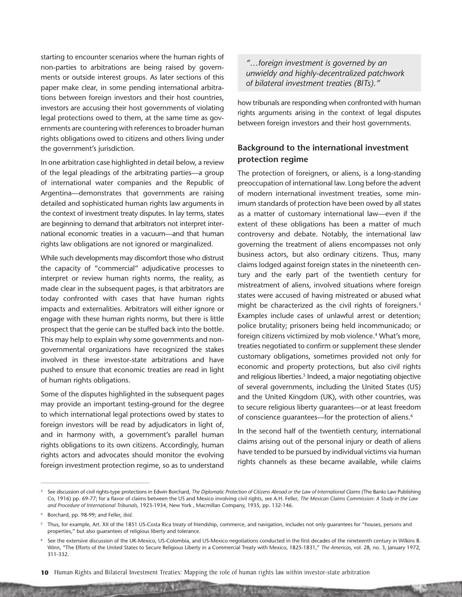starting to encounter scenarios where the human rights of non-parties to arbitrations are being raised by governments or outside interest groups. As later sections of this paper make clear, in some pending international arbitrations between foreign investors and their host countries, investors are accusing their host governments of violating legal protections owed to them, at the same time as governments are countering with references to broader human rights obligations owed to citizens and others living under the government's jurisdiction.

In one arbitration case highlighted in detail below, a review of the legal pleadings of the arbitrating parties—a group of international water companies and the Republic of Argentina—demonstrates that governments are raising detailed and sophisticated human rights law arguments in the context of investment treaty disputes. In lay terms, states are beginning to demand that arbitrators not interpret international economic treaties in a vacuum—and that human rights law obligations are not ignored or marginalized.

While such developments may discomfort those who distrust the capacity of "commercial" adjudicative processes to interpret or review human rights norms, the reality, as made clear in the subsequent pages, is that arbitrators are today confronted with cases that have human rights impacts and externalities. Arbitrators will either ignore or engage with these human rights norms, but there is little prospect that the genie can be stuffed back into the bottle. This may help to explain why some governments and nongovernmental organizations have recognized the stakes involved in these investor-state arbitrations and have pushed to ensure that economic treaties are read in light of human rights obligations.

Some of the disputes highlighted in the subsequent pages may provide an important testing-ground for the degree to which international legal protections owed by states to foreign investors will be read by adjudicators in light of, and in harmony with, a government's parallel human rights obligations to its own citizens. Accordingly, human rights actors and advocates should monitor the evolving foreign investment protection regime, so as to understand

*"…foreign investment is governed by an unwieldy and highly-decentralized patchwork of bilateral investment treaties (BITs)."* 

how tribunals are responding when confronted with human rights arguments arising in the context of legal disputes between foreign investors and their host governments.

## **Background to the international investment protection regime**

The protection of foreigners, or aliens, is a long-standing preoccupation of international law. Long before the advent of modern international investment treaties, some minimum standards of protection have been owed by all states as a matter of customary international law—even if the extent of these obligations has been a matter of much controversy and debate. Notably, the international law governing the treatment of aliens encompasses not only business actors, but also ordinary citizens. Thus, many claims lodged against foreign states in the nineteenth century and the early part of the twentieth century for mistreatment of aliens, involved situations where foreign states were accused of having mistreated or abused what might be characterized as the civil rights of foreigners.<sup>3</sup> Examples include cases of unlawful arrest or detention; police brutality; prisoners being held incommunicado; or foreign citizens victimized by mob violence.<sup>4</sup> What's more, treaties negotiated to confirm or supplement these slender customary obligations, sometimes provided not only for economic and property protections, but also civil rights and religious liberties.<sup>5</sup> Indeed, a major negotiating objective of several governments, including the United States (US) and the United Kingdom (UK), with other countries, was to secure religious liberty guarantees—or at least freedom of conscience guarantees—for the protection of aliens.<sup>6</sup>

In the second half of the twentieth century, international claims arising out of the personal injury or death of aliens have tended to be pursued by individual victims via human rights channels as these became available, while claims

See discussion of civil rights-type protections in Edwin Borchard, *The Diplomatic Protection of Citizens Abroad or the Law of International Claims* (The Banks Law Publishing Co, 1916) pp. 69-77; for a flavor of claims between the US and Mexico involving civil rights, see A.H. Feller, *The Mexican Claims Commission: A Study in the Law and Procedure of International Tribunals*, 1923-1934, New York , Macmillan Company, 1935, pp. 132-146.

<sup>4</sup> Borchard, pp. 98-99; and Feller, *ibid*.

<sup>&</sup>lt;sup>5</sup> Thus, for example, Art. XII of the 1851 US-Costa Rica treaty of friendship, commerce, and navigation, includes not only guarantees for "houses, persons and properties," but also guarantees of religious liberty and tolerance.

See the extensive discussion of the UK-Mexico, US-Colombia, and US-Mexico negotiations conducted in the first decades of the nineteenth century in Wilkins B. Winn, "The Efforts of the United States to Secure Religious Liberty in a Commercial Treaty with Mexico, 1825-1831," *The Americas*, vol. 28, no. 3, January 1972, 311-332.

**<sup>10</sup>** Human Rights and Bilateral Investment Treaties: Mapping the role of human rights law within investor-state arbitration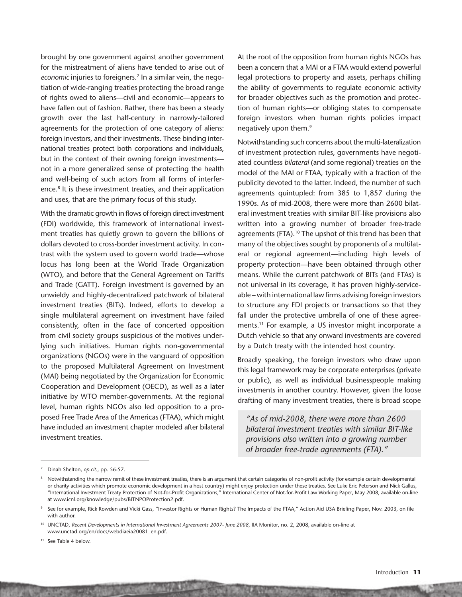brought by one government against another government for the mistreatment of aliens have tended to arise out of *economic* injuries to foreigners.7 In a similar vein, the negotiation of wide-ranging treaties protecting the broad range of rights owed to aliens—civil and economic—appears to have fallen out of fashion. Rather, there has been a steady growth over the last half-century in narrowly-tailored agreements for the protection of one category of aliens: foreign investors, and their investments. These binding international treaties protect both corporations and individuals, but in the context of their owning foreign investments not in a more generalized sense of protecting the health and well-being of such actors from all forms of interference.<sup>8</sup> It is these investment treaties, and their application and uses, that are the primary focus of this study.

With the dramatic growth in flows of foreign direct investment (FDI) worldwide, this framework of international investment treaties has quietly grown to govern the billions of dollars devoted to cross-border investment activity. In contrast with the system used to govern world trade—whose locus has long been at the World Trade Organization (WTO), and before that the General Agreement on Tariffs and Trade (GATT). Foreign investment is governed by an unwieldy and highly-decentralized patchwork of bilateral investment treaties (BITs). Indeed, efforts to develop a single multilateral agreement on investment have failed consistently, often in the face of concerted opposition from civil society groups suspicious of the motives underlying such initiatives. Human rights non-governmental organizations (NGOs) were in the vanguard of opposition to the proposed Multilateral Agreement on Investment (MAI) being negotiated by the Organization for Economic Cooperation and Development (OECD), as well as a later initiative by WTO member-governments. At the regional level, human rights NGOs also led opposition to a proposed Free Trade Area of the Americas (FTAA), which might have included an investment chapter modeled after bilateral investment treaties.

At the root of the opposition from human rights NGOs has been a concern that a MAI or a FTAA would extend powerful legal protections to property and assets, perhaps chilling the ability of governments to regulate economic activity for broader objectives such as the promotion and protection of human rights—or obliging states to compensate foreign investors when human rights policies impact negatively upon them.<sup>9</sup>

Notwithstanding such concerns about the multi-lateralization of investment protection rules, governments have negotiated countless *bilateral* (and some regional) treaties on the model of the MAI or FTAA, typically with a fraction of the publicity devoted to the latter. Indeed, the number of such agreements quintupled: from 385 to 1,857 during the 1990s. As of mid-2008, there were more than 2600 bilateral investment treaties with similar BIT-like provisions also written into a growing number of broader free-trade agreements (FTA).10 The upshot of this trend has been that many of the objectives sought by proponents of a multilateral or regional agreement—including high levels of property protection—have been obtained through other means. While the current patchwork of BITs (and FTAs) is not universal in its coverage, it has proven highly-serviceable – with international law firms advising foreign investors to structure any FDI projects or transactions so that they fall under the protective umbrella of one of these agreements.11 For example, a US investor might incorporate a Dutch vehicle so that any onward investments are covered by a Dutch treaty with the intended host country.

Broadly speaking, the foreign investors who draw upon this legal framework may be corporate enterprises (private or public), as well as individual businesspeople making investments in another country. However, given the loose drafting of many investment treaties, there is broad scope

*"As of mid-2008, there were more than 2600 bilateral investment treaties with similar BIT-like provisions also written into a growing number of broader free-trade agreements (FTA)."* 

11 See Table 4 below.

<sup>7</sup> Dinah Shelton, *op.cit*., pp. 56-57.

<sup>8</sup> Notwithstanding the narrow remit of these investment treaties, there is an argument that certain categories of non-profit activity (for example certain developmental or charity activities which promote economic development in a host country) might enjoy protection under these treaties. See Luke Eric Peterson and Nick Gallus, "International Investment Treaty Protection of Not-for-Profit Organizations," International Center of Not-for-Profit Law Working Paper, May 2008, available on-line at www.icnl.org/knowledge/pubs/BITNPOProtection2.pdf.

<sup>9</sup> See for example, Rick Rowden and Vicki Gass, "Investor Rights or Human Rights? The Impacts of the FTAA," Action Aid USA Briefing Paper, Nov. 2003, on file with author.

<sup>&</sup>lt;sup>10</sup> UNCTAD, Recent Developments in International Investment Agreements 2007- June 2008, IIA Monitor, no. 2, 2008, available on-line at www.unctad.org/en/docs/webdiaeia20081\_en.pdf.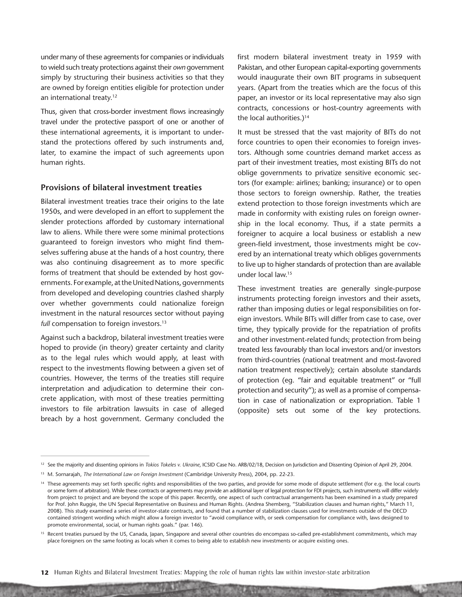under many of these agreements for companies or individuals to wield such treaty protections against their *own* government simply by structuring their business activities so that they are owned by foreign entities eligible for protection under an international treaty.<sup>12</sup>

Thus, given that cross-border investment flows increasingly travel under the protective passport of one or another of these international agreements, it is important to understand the protections offered by such instruments and, later, to examine the impact of such agreements upon human rights.

### **Provisions of bilateral investment treaties**

Bilateral investment treaties trace their origins to the late 1950s, and were developed in an effort to supplement the slender protections afforded by customary international law to aliens. While there were some minimal protections guaranteed to foreign investors who might find themselves suffering abuse at the hands of a host country, there was also continuing disagreement as to more specific forms of treatment that should be extended by host governments. For example, at the United Nations, governments from developed and developing countries clashed sharply over whether governments could nationalize foreign investment in the natural resources sector without paying *full* compensation to foreign investors.<sup>13</sup>

Against such a backdrop, bilateral investment treaties were hoped to provide (in theory) greater certainty and clarity as to the legal rules which would apply, at least with respect to the investments flowing between a given set of countries. However, the terms of the treaties still require interpretation and adjudication to determine their concrete application, with most of these treaties permitting investors to file arbitration lawsuits in case of alleged breach by a host government. Germany concluded the

first modern bilateral investment treaty in 1959 with Pakistan, and other European capital-exporting governments would inaugurate their own BIT programs in subsequent years. (Apart from the treaties which are the focus of this paper, an investor or its local representative may also sign contracts, concessions or host-country agreements with the local authorities.) $14$ 

It must be stressed that the vast majority of BITs do not force countries to open their economies to foreign investors. Although some countries demand market access as part of their investment treaties, most existing BITs do not oblige governments to privatize sensitive economic sectors (for example: airlines; banking; insurance) or to open those sectors to foreign ownership. Rather, the treaties extend protection to those foreign investments which are made in conformity with existing rules on foreign ownership in the local economy. Thus, if a state permits a foreigner to acquire a local business or establish a new green-field investment, those investments might be covered by an international treaty which obliges governments to live up to higher standards of protection than are available under local law.15

These investment treaties are generally single-purpose instruments protecting foreign investors and their assets, rather than imposing duties or legal responsibilities on foreign investors. While BITs will differ from case to case, over time, they typically provide for the repatriation of profits and other investment-related funds; protection from being treated less favourably than local investors and/or investors from third-countries (national treatment and most-favored nation treatment respectively); certain absolute standards of protection (eg. "fair and equitable treatment" or "full protection and security"); as well as a promise of compensation in case of nationalization or expropriation. Table 1 (opposite) sets out some of the key protections.

<sup>&</sup>lt;sup>12</sup> See the majority and dissenting opinions in *Tokios Tokeles v. Ukraine*, ICSID Case No. ARB/02/18, Decision on Jurisdiction and Dissenting Opinion of April 29, 2004.

<sup>13</sup> M. Sornarajah, *The International Law on Foreign Investment* (Cambridge University Press), 2004, pp. 22-23.

<sup>&</sup>lt;sup>14</sup> These agreements may set forth specific rights and responsibilities of the two parties, and provide for some mode of dispute settlement (for e.g. the local courts or some form of arbitration). While these contracts or agreements may provide an additional layer of legal protection for FDI projects, such instruments will differ widely from project to project and are beyond the scope of this paper. Recently, one aspect of such contractual arrangements has been examined in a study prepared for Prof. John Ruggie, the UN Special Representative on Business and Human Rights. (Andrea Shemberg, "Stabilization clauses and human rights," March 11, 2008). This study examined a series of investor-state contracts, and found that a number of stabilization clauses used for investments outside of the OECD contained stringent wording which might allow a foreign investor to "avoid compliance with, or seek compensation for compliance with, laws designed to promote environmental, social, or human rights goals." (par. 146).

<sup>&</sup>lt;sup>15</sup> Recent treaties pursued by the US, Canada, Japan, Singapore and several other countries do encompass so-called pre-establishment commitments, which may place foreigners on the same footing as locals when it comes to being able to establish new investments or acquire existing ones.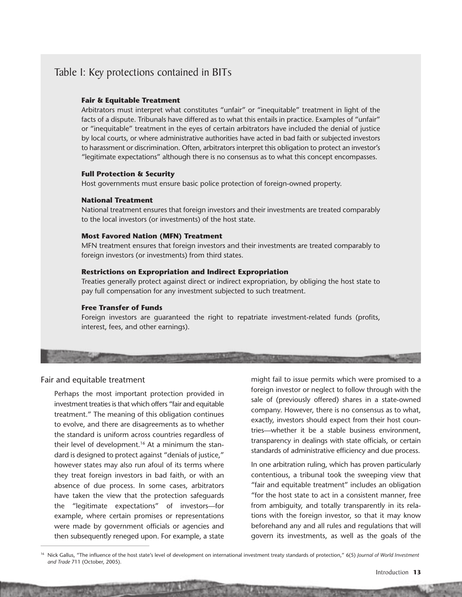## Table 1: Key protections contained in BITs

#### **Fair & Equitable Treatment**

Arbitrators must interpret what constitutes "unfair" or "inequitable" treatment in light of the facts of a dispute. Tribunals have differed as to what this entails in practice. Examples of "unfair" or "inequitable" treatment in the eyes of certain arbitrators have included the denial of justice by local courts, or where administrative authorities have acted in bad faith or subjected investors to harassment or discrimination. Often, arbitrators interpret this obligation to protect an investor's "legitimate expectations" although there is no consensus as to what this concept encompasses.

#### **Full Protection & Security**

Host governments must ensure basic police protection of foreign-owned property.

#### **National Treatment**

National treatment ensures that foreign investors and their investments are treated comparably to the local investors (or investments) of the host state.

#### **Most Favored Nation (MFN) Treatment**

MFN treatment ensures that foreign investors and their investments are treated comparably to foreign investors (or investments) from third states.

#### **Restrictions on Expropriation and Indirect Expropriation**

Treaties generally protect against direct or indirect expropriation, by obliging the host state to pay full compensation for any investment subjected to such treatment.

#### **Free Transfer of Funds**

Foreign investors are guaranteed the right to repatriate investment-related funds (profits, interest, fees, and other earnings).



Perhaps the most important protection provided in investment treaties is that which offers "fair and equitable treatment." The meaning of this obligation continues to evolve, and there are disagreements as to whether the standard is uniform across countries regardless of their level of development.<sup>16</sup> At a minimum the standard is designed to protect against "denials of justice," however states may also run afoul of its terms where they treat foreign investors in bad faith, or with an absence of due process. In some cases, arbitrators have taken the view that the protection safeguards the "legitimate expectations" of investors—for example, where certain promises or representations were made by government officials or agencies and then subsequently reneged upon. For example, a state

might fail to issue permits which were promised to a foreign investor or neglect to follow through with the sale of (previously offered) shares in a state-owned company. However, there is no consensus as to what, exactly, investors should expect from their host countries—whether it be a stable business environment, transparency in dealings with state officials, or certain standards of administrative efficiency and due process.

In one arbitration ruling, which has proven particularly contentious, a tribunal took the sweeping view that "fair and equitable treatment" includes an obligation "for the host state to act in a consistent manner, free from ambiguity, and totally transparently in its relations with the foreign investor, so that it may know beforehand any and all rules and regulations that will govern its investments, as well as the goals of the

<sup>&</sup>lt;sup>16</sup> Nick Gallus, "The influence of the host state's level of development on international investment treaty standards of protection," 6(5) *Journal of World Investment and Trade* 711 (October, 2005).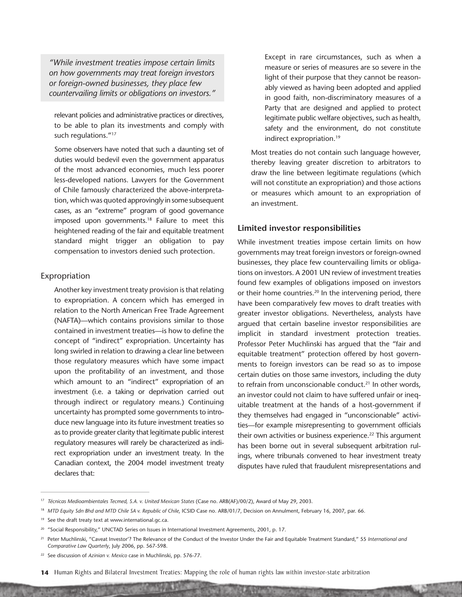*"While investment treaties impose certain limits on how governments may treat foreign investors or foreign-owned businesses, they place few countervailing limits or obligations on investors."* 

relevant policies and administrative practices or directives, to be able to plan its investments and comply with such regulations."17

Some observers have noted that such a daunting set of duties would bedevil even the government apparatus of the most advanced economies, much less poorer less-developed nations. Lawyers for the Government of Chile famously characterized the above-interpretation, which was quoted approvingly in some subsequent cases, as an "extreme" program of good governance imposed upon governments.18 Failure to meet this heightened reading of the fair and equitable treatment standard might trigger an obligation to pay compensation to investors denied such protection.

#### Expropriation

Another key investment treaty provision is that relating to expropriation. A concern which has emerged in relation to the North American Free Trade Agreement (NAFTA)—which contains provisions similar to those contained in investment treaties—is how to define the concept of "indirect" expropriation. Uncertainty has long swirled in relation to drawing a clear line between those regulatory measures which have some impact upon the profitability of an investment, and those which amount to an "indirect" expropriation of an investment (i.e. a taking or deprivation carried out through indirect or regulatory means.) Continuing uncertainty has prompted some governments to introduce new language into its future investment treaties so as to provide greater clarity that legitimate public interest regulatory measures will rarely be characterized as indirect expropriation under an investment treaty. In the Canadian context, the 2004 model investment treaty declares that:

Except in rare circumstances, such as when a measure or series of measures are so severe in the light of their purpose that they cannot be reasonably viewed as having been adopted and applied in good faith, non-discriminatory measures of a Party that are designed and applied to protect legitimate public welfare objectives, such as health, safety and the environment, do not constitute indirect expropriation.<sup>19</sup>

Most treaties do not contain such language however, thereby leaving greater discretion to arbitrators to draw the line between legitimate regulations (which will not constitute an expropriation) and those actions or measures which amount to an expropriation of an investment.

#### **Limited investor responsibilities**

While investment treaties impose certain limits on how governments may treat foreign investors or foreign-owned businesses, they place few countervailing limits or obligations on investors. A 2001 UN review of investment treaties found few examples of obligations imposed on investors or their home countries.<sup>20</sup> In the intervening period, there have been comparatively few moves to draft treaties with greater investor obligations. Nevertheless, analysts have argued that certain baseline investor responsibilities are implicit in standard investment protection treaties. Professor Peter Muchlinski has argued that the "fair and equitable treatment" protection offered by host governments to foreign investors can be read so as to impose certain duties on those same investors, including the duty to refrain from unconscionable conduct.<sup>21</sup> In other words, an investor could not claim to have suffered unfair or inequitable treatment at the hands of a host-government if they themselves had engaged in "unconscionable" activities—for example misrepresenting to government officials their own activities or business experience.<sup>22</sup> This argument has been borne out in several subsequent arbitration rulings, where tribunals convened to hear investment treaty disputes have ruled that fraudulent misrepresentations and

<sup>17</sup>*Técnicas Medioambientales Tecmed, S.A. v. United Mexican States* (Case no. ARB(AF)/00/2), Award of May 29, 2003.

<sup>&</sup>lt;sup>18</sup> MTD Equity Sdn Bhd and MTD Chile SA v. Republic of Chile, ICSID Case no. ARB/01/7, Decision on Annulment, February 16, 2007, par. 66.

<sup>19</sup> See the draft treaty text at www.international.gc.ca.

<sup>20 &</sup>quot;Social Responsibility," UNCTAD Series on Issues in International Investment Agreements, 2001, p. 17.

<sup>21</sup> Peter Muchlinski, "Caveat Investor'? The Relevance of the Conduct of the Investor Under the Fair and Equitable Treatment Standard," 55 *International and Comparative Law Quarterly*, July 2006, pp. 567-598.

<sup>22</sup> See discussion of *Azinian v. Mexico* case in Muchlinski, pp. 576-77.

**<sup>14</sup>** Human Rights and Bilateral Investment Treaties: Mapping the role of human rights law within investor-state arbitration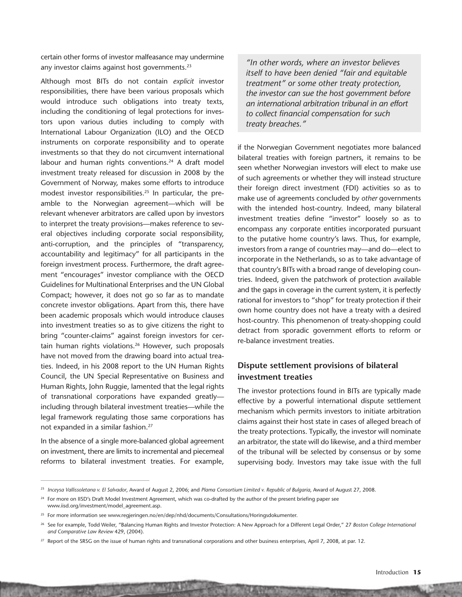certain other forms of investor malfeasance may undermine any investor claims against host governments.<sup>23</sup>

Although most BITs do not contain *explicit* investor responsibilities, there have been various proposals which would introduce such obligations into treaty texts, including the conditioning of legal protections for investors upon various duties including to comply with International Labour Organization (ILO) and the OECD instruments on corporate responsibility and to operate investments so that they do not circumvent international labour and human rights conventions.<sup>24</sup> A draft model investment treaty released for discussion in 2008 by the Government of Norway, makes some efforts to introduce modest investor responsibilities.<sup>25</sup> In particular, the preamble to the Norwegian agreement—which will be relevant whenever arbitrators are called upon by investors to interpret the treaty provisions—makes reference to several objectives including corporate social responsibility, anti-corruption, and the principles of "transparency, accountability and legitimacy" for all participants in the foreign investment process. Furthermore, the draft agreement "encourages" investor compliance with the OECD Guidelines for Multinational Enterprises and the UN Global Compact; however, it does not go so far as to mandate concrete investor obligations. Apart from this, there have been academic proposals which would introduce clauses into investment treaties so as to give citizens the right to bring "counter-claims" against foreign investors for certain human rights violations.<sup>26</sup> However, such proposals have not moved from the drawing board into actual treaties. Indeed, in his 2008 report to the UN Human Rights Council, the UN Special Representative on Business and Human Rights, John Ruggie, lamented that the legal rights of transnational corporations have expanded greatly including through bilateral investment treaties—while the legal framework regulating those same corporations has not expanded in a similar fashion.27

In the absence of a single more-balanced global agreement on investment, there are limits to incremental and piecemeal reforms to bilateral investment treaties. For example,

*"In other words, where an investor believes itself to have been denied "fair and equitable treatment" or some other treaty protection, the investor can sue the host government before an international arbitration tribunal in an effort to collect financial compensation for such treaty breaches."*

if the Norwegian Government negotiates more balanced bilateral treaties with foreign partners, it remains to be seen whether Norwegian investors will elect to make use of such agreements or whether they will instead structure their foreign direct investment (FDI) activities so as to make use of agreements concluded by *other* governments with the intended host-country. Indeed, many bilateral investment treaties define "investor" loosely so as to encompass any corporate entities incorporated pursuant to the putative home country's laws. Thus, for example, investors from a range of countries may—and do—elect to incorporate in the Netherlands, so as to take advantage of that country's BITs with a broad range of developing countries. Indeed, given the patchwork of protection available and the gaps in coverage in the current system, it is perfectly rational for investors to "shop" for treaty protection if their own home country does not have a treaty with a desired host-country. This phenomenon of treaty-shopping could detract from sporadic government efforts to reform or re-balance investment treaties.

## **Dispute settlement provisions of bilateral investment treaties**

The investor protections found in BITs are typically made effective by a powerful international dispute settlement mechanism which permits investors to initiate arbitration claims against their host state in cases of alleged breach of the treaty protections. Typically, the investor will nominate an arbitrator, the state will do likewise, and a third member of the tribunal will be selected by consensus or by some supervising body. Investors may take issue with the full

<sup>23</sup> *Inceysa Vallissoletana v. El Salvador*, Award of August 2, 2006; and *Plama Consortium Limited v. Republic of Bulgaria*, Award of August 27, 2008.

<sup>&</sup>lt;sup>24</sup> For more on IISD's Draft Model Investment Agreement, which was co-drafted by the author of the present briefing paper see www.iisd.org/investment/model\_agreement.asp.

<sup>&</sup>lt;sup>25</sup> For more information see www.regjeringen.no/en/dep/nhd/documents/Consultations/Horingsdokumenter.

<sup>26</sup> See for example, Todd Weiler, "Balancing Human Rights and Investor Protection: A New Approach for a Different Legal Order," 27 *Boston College International and Comparative Law Review* 429, (2004).

<sup>&</sup>lt;sup>27</sup> Report of the SRSG on the issue of human rights and transnational corporations and other business enterprises, April 7, 2008, at par. 12.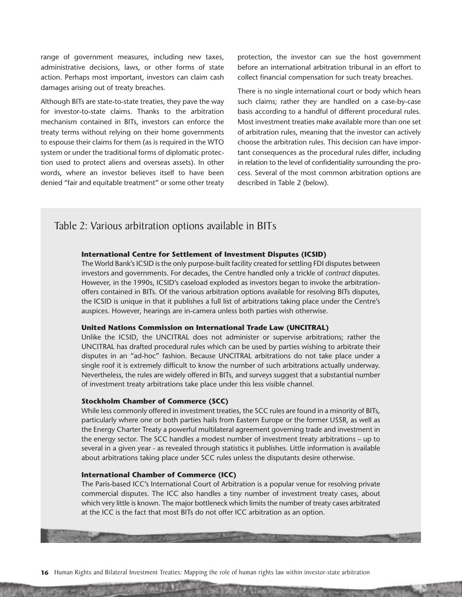range of government measures, including new taxes, administrative decisions, laws, or other forms of state action. Perhaps most important, investors can claim cash damages arising out of treaty breaches.

Although BITs are state-to-state treaties, they pave the way for investor-to-state claims. Thanks to the arbitration mechanism contained in BITs, investors can enforce the treaty terms without relying on their home governments to espouse their claims for them (as is required in the WTO system or under the traditional forms of diplomatic protection used to protect aliens and overseas assets). In other words, where an investor believes itself to have been denied "fair and equitable treatment" or some other treaty

protection, the investor can sue the host government before an international arbitration tribunal in an effort to collect financial compensation for such treaty breaches.

There is no single international court or body which hears such claims; rather they are handled on a case-by-case basis according to a handful of different procedural rules. Most investment treaties make available more than one set of arbitration rules, meaning that the investor can actively choose the arbitration rules. This decision can have important consequences as the procedural rules differ, including in relation to the level of confidentiality surrounding the process. Several of the most common arbitration options are described in Table 2 (below).

## Table 2: Various arbitration options available in BITs

#### **International Centre for Settlement of Investment Disputes (ICSID)**

The World Bank's ICSID is the only purpose-built facility created for settling FDI disputes between investors and governments. For decades, the Centre handled only a trickle of *contract* disputes. However, in the 1990s, ICSID's caseload exploded as investors began to invoke the arbitrationoffers contained in BITs. Of the various arbitration options available for resolving BITs disputes, the ICSID is unique in that it publishes a full list of arbitrations taking place under the Centre's auspices. However, hearings are in-camera unless both parties wish otherwise.

#### **United Nations Commission on International Trade Law (UNCITRAL)**

Unlike the ICSID, the UNCITRAL does not administer or supervise arbitrations; rather the UNCITRAL has drafted procedural rules which can be used by parties wishing to arbitrate their disputes in an "ad-hoc" fashion. Because UNCITRAL arbitrations do not take place under a single roof it is extremely difficult to know the number of such arbitrations actually underway. Nevertheless, the rules are widely offered in BITs, and surveys suggest that a substantial number of investment treaty arbitrations take place under this less visible channel.

#### **Stockholm Chamber of Commerce (SCC)**

While less commonly offered in investment treaties, the SCC rules are found in a minority of BITs, particularly where one or both parties hails from Eastern Europe or the former USSR, as well as the Energy Charter Treaty a powerful multilateral agreement governing trade and investment in the energy sector. The SCC handles a modest number of investment treaty arbitrations – up to several in a given year - as revealed through statistics it publishes. Little information is available about arbitrations taking place under SCC rules unless the disputants desire otherwise.

#### **International Chamber of Commerce (ICC)**

The Paris-based ICC's International Court of Arbitration is a popular venue for resolving private commercial disputes. The ICC also handles a tiny number of investment treaty cases, about which very little is known. The major bottleneck which limits the number of treaty cases arbitrated at the ICC is the fact that most BITs do not offer ICC arbitration as an option.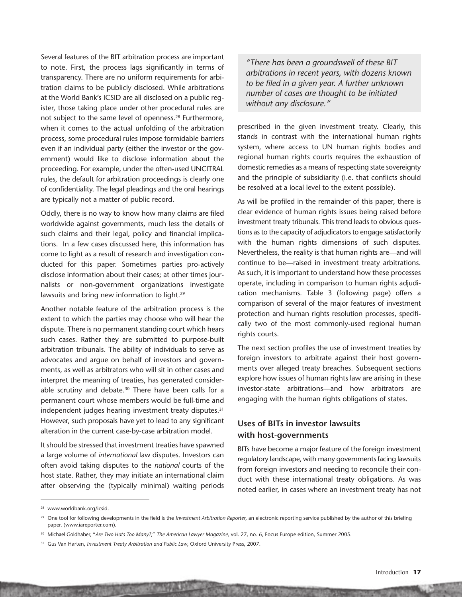Several features of the BIT arbitration process are important to note. First, the process lags significantly in terms of transparency. There are no uniform requirements for arbitration claims to be publicly disclosed. While arbitrations at the World Bank's ICSID are all disclosed on a public register, those taking place under other procedural rules are not subject to the same level of openness.<sup>28</sup> Furthermore, when it comes to the actual unfolding of the arbitration process, some procedural rules impose formidable barriers even if an individual party (either the investor or the government) would like to disclose information about the proceeding. For example, under the often-used UNCITRAL rules, the default for arbitration proceedings is clearly one of confidentiality. The legal pleadings and the oral hearings are typically not a matter of public record.

Oddly, there is no way to know how many claims are filed worldwide against governments, much less the details of such claims and their legal, policy and financial implications. In a few cases discussed here, this information has come to light as a result of research and investigation conducted for this paper. Sometimes parties pro-actively disclose information about their cases; at other times journalists or non-government organizations investigate lawsuits and bring new information to light.<sup>29</sup>

Another notable feature of the arbitration process is the extent to which the parties may choose who will hear the dispute. There is no permanent standing court which hears such cases. Rather they are submitted to purpose-built arbitration tribunals. The ability of individuals to serve as advocates and argue on behalf of investors and governments, as well as arbitrators who will sit in other cases and interpret the meaning of treaties, has generated considerable scrutiny and debate.<sup>30</sup> There have been calls for a permanent court whose members would be full-time and independent judges hearing investment treaty disputes.<sup>31</sup> However, such proposals have yet to lead to any significant alteration in the current case-by-case arbitration model.

It should be stressed that investment treaties have spawned a large volume of *international* law disputes. Investors can often avoid taking disputes to the *national* courts of the host state. Rather, they may initiate an international claim after observing the (typically minimal) waiting periods

*"There has been a groundswell of these BIT arbitrations in recent years, with dozens known to be filed in a given year. A further unknown number of cases are thought to be initiated without any disclosure."*

prescribed in the given investment treaty. Clearly, this stands in contrast with the international human rights system, where access to UN human rights bodies and regional human rights courts requires the exhaustion of domestic remedies as a means of respecting state sovereignty and the principle of subsidiarity (i.e. that conflicts should be resolved at a local level to the extent possible).

As will be profiled in the remainder of this paper, there is clear evidence of human rights issues being raised before investment treaty tribunals. This trend leads to obvious questions as to the capacity of adjudicators to engage satisfactorily with the human rights dimensions of such disputes. Nevertheless, the reality is that human rights are—and will continue to be—raised in investment treaty arbitrations. As such, it is important to understand how these processes operate, including in comparison to human rights adjudication mechanisms. Table 3 (following page) offers a comparison of several of the major features of investment protection and human rights resolution processes, specifically two of the most commonly-used regional human rights courts.

The next section profiles the use of investment treaties by foreign investors to arbitrate against their host governments over alleged treaty breaches. Subsequent sections explore how issues of human rights law are arising in these investor-state arbitrations—and how arbitrators are engaging with the human rights obligations of states.

## **Uses of BITs in investor lawsuits with host-governments**

BITs have become a major feature of the foreign investment regulatory landscape, with many governments facing lawsuits from foreign investors and needing to reconcile their conduct with these international treaty obligations. As was noted earlier, in cases where an investment treaty has not

<sup>28</sup> www.worldbank.org/icsid.

<sup>29</sup> One tool for following developments in the field is the *Investment Arbitration Reporter*, an electronic reporting service published by the author of this briefing paper. (www.iareporter.com).

<sup>30</sup> Michael Goldhaber, "*Are Two Hats Too Many?*," *The American Lawyer Magazine*, vol. 27, no. 6, Focus Europe edition, Summer 2005.

<sup>&</sup>lt;sup>31</sup> Gus Van Harten, *Investment Treaty Arbitration and Public Law*, Oxford University Press, 2007.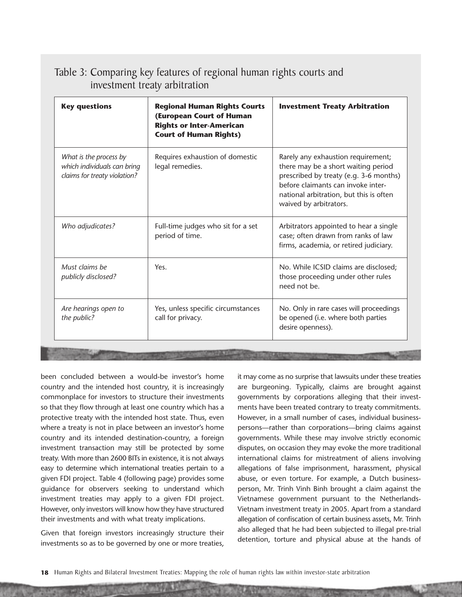| <b>Key questions</b>                                                                  | <b>Regional Human Rights Courts</b><br>(European Court of Human<br><b>Rights or Inter-American</b><br><b>Court of Human Rights)</b> | <b>Investment Treaty Arbitration</b>                                                                                                                                                                                           |
|---------------------------------------------------------------------------------------|-------------------------------------------------------------------------------------------------------------------------------------|--------------------------------------------------------------------------------------------------------------------------------------------------------------------------------------------------------------------------------|
| What is the process by<br>which individuals can bring<br>claims for treaty violation? | Requires exhaustion of domestic<br>legal remedies.                                                                                  | Rarely any exhaustion requirement;<br>there may be a short waiting period<br>prescribed by treaty (e.g. 3-6 months)<br>before claimants can invoke inter-<br>national arbitration, but this is often<br>waived by arbitrators. |
| Who adjudicates?                                                                      | Full-time judges who sit for a set<br>period of time.                                                                               | Arbitrators appointed to hear a single<br>case; often drawn from ranks of law<br>firms, academia, or retired judiciary.                                                                                                        |
| Must claims be<br>publicly disclosed?                                                 | Yes.                                                                                                                                | No. While ICSID claims are disclosed;<br>those proceeding under other rules<br>need not be.                                                                                                                                    |
| Are hearings open to<br>the public?                                                   | Yes, unless specific circumstances<br>call for privacy.                                                                             | No. Only in rare cases will proceedings<br>be opened (i.e. where both parties<br>desire openness).                                                                                                                             |

## Table 3: Comparing key features of regional human rights courts and investment treaty arbitration

been concluded between a would-be investor's home country and the intended host country, it is increasingly commonplace for investors to structure their investments so that they flow through at least one country which has a protective treaty with the intended host state. Thus, even where a treaty is not in place between an investor's home country and its intended destination-country, a foreign investment transaction may still be protected by some treaty. With more than 2600 BITs in existence, it is not always easy to determine which international treaties pertain to a given FDI project. Table 4 (following page) provides some guidance for observers seeking to understand which investment treaties may apply to a given FDI project. However, only investors will know how they have structured their investments and with what treaty implications.

Given that foreign investors increasingly structure their investments so as to be governed by one or more treaties, it may come as no surprise that lawsuits under these treaties are burgeoning. Typically, claims are brought against governments by corporations alleging that their investments have been treated contrary to treaty commitments. However, in a small number of cases, individual businesspersons—rather than corporations—bring claims against governments. While these may involve strictly economic disputes, on occasion they may evoke the more traditional international claims for mistreatment of aliens involving allegations of false imprisonment, harassment, physical abuse, or even torture. For example, a Dutch businessperson, Mr. Trinh Vinh Binh brought a claim against the Vietnamese government pursuant to the Netherlands-Vietnam investment treaty in 2005. Apart from a standard allegation of confiscation of certain business assets, Mr. Trinh also alleged that he had been subjected to illegal pre-trial detention, torture and physical abuse at the hands of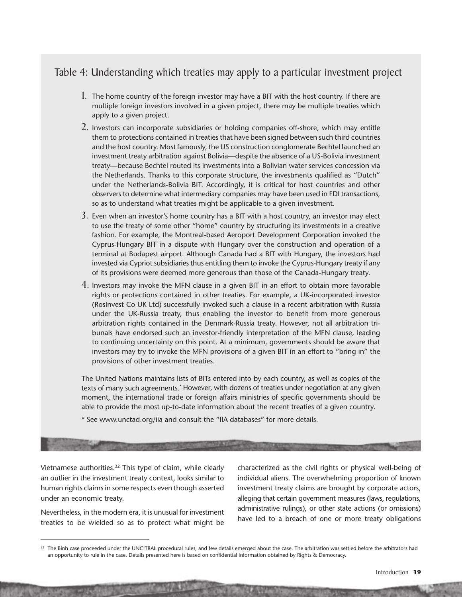## Table 4: Understanding which treaties may apply to a particular investment project

- 1. The home country of the foreign investor may have a BIT with the host country. If there are multiple foreign investors involved in a given project, there may be multiple treaties which apply to a given project.
- 2. Investors can incorporate subsidiaries or holding companies off-shore, which may entitle them to protections contained in treaties that have been signed between such third countries and the host country. Most famously, the US construction conglomerate Bechtel launched an investment treaty arbitration against Bolivia—despite the absence of a US-Bolivia investment treaty—because Bechtel routed its investments into a Bolivian water services concession via the Netherlands. Thanks to this corporate structure, the investments qualified as "Dutch" under the Netherlands-Bolivia BIT. Accordingly, it is critical for host countries and other observers to determine what intermediary companies may have been used in FDI transactions, so as to understand what treaties might be applicable to a given investment.
- 3. Even when an investor's home country has a BIT with a host country, an investor may elect to use the treaty of some other "home" country by structuring its investments in a creative fashion. For example, the Montreal-based Aeroport Development Corporation invoked the Cyprus-Hungary BIT in a dispute with Hungary over the construction and operation of a terminal at Budapest airport. Although Canada had a BIT with Hungary, the investors had invested via Cypriot subsidiaries thus entitling them to invoke the Cyprus-Hungary treaty if any of its provisions were deemed more generous than those of the Canada-Hungary treaty.
- 4. Investors may invoke the MFN clause in a given BIT in an effort to obtain more favorable rights or protections contained in other treaties. For example, a UK-incorporated investor (RosInvest Co UK Ltd) successfully invoked such a clause in a recent arbitration with Russia under the UK-Russia treaty, thus enabling the investor to benefit from more generous arbitration rights contained in the Denmark-Russia treaty. However, not all arbitration tribunals have endorsed such an investor-friendly interpretation of the MFN clause, leading to continuing uncertainty on this point. At a minimum, governments should be aware that investors may try to invoke the MFN provisions of a given BIT in an effort to "bring in" the provisions of other investment treaties.

The United Nations maintains lists of BITs entered into by each country, as well as copies of the texts of many such agreements.\* However, with dozens of treaties under negotiation at any given moment, the international trade or foreign affairs ministries of specific governments should be able to provide the most up-to-date information about the recent treaties of a given country.

\* See www.unctad.org/iia and consult the "IIA databases" for more details.

Vietnamese authorities.<sup>32</sup> This type of claim, while clearly an outlier in the investment treaty context, looks similar to human rights claims in some respects even though asserted under an economic treaty.

Nevertheless, in the modern era, it is unusual for investment treaties to be wielded so as to protect what might be

characterized as the civil rights or physical well-being of individual aliens. The overwhelming proportion of known investment treaty claims are brought by corporate actors, alleging that certain government measures (laws, regulations, administrative rulings), or other state actions (or omissions) have led to a breach of one or more treaty obligations

<sup>&</sup>lt;sup>32</sup> The Binh case proceeded under the UNCITRAL procedural rules, and few details emerged about the case. The arbitration was settled before the arbitrators had an opportunity to rule in the case. Details presented here is based on confidential information obtained by Rights & Democracy.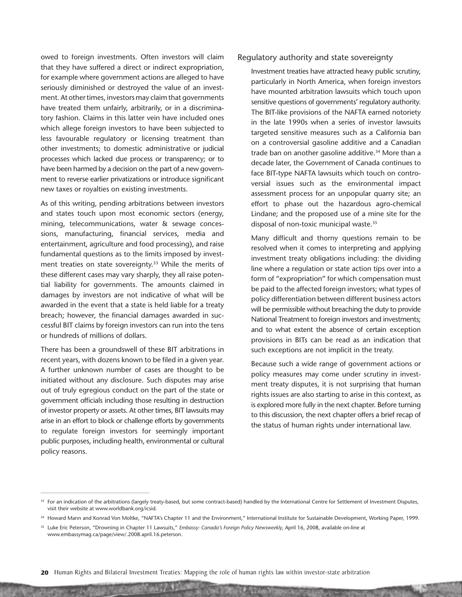owed to foreign investments. Often investors will claim that they have suffered a direct or indirect expropriation, for example where government actions are alleged to have seriously diminished or destroyed the value of an investment. At other times, investors may claim that governments have treated them unfairly, arbitrarily, or in a discriminatory fashion. Claims in this latter vein have included ones which allege foreign investors to have been subjected to less favourable regulatory or licensing treatment than other investments; to domestic administrative or judicial processes which lacked due process or transparency; or to have been harmed by a decision on the part of a new government to reverse earlier privatizations or introduce significant new taxes or royalties on existing investments.

As of this writing, pending arbitrations between investors and states touch upon most economic sectors (energy, mining, telecommunications, water & sewage concessions, manufacturing, financial services, media and entertainment, agriculture and food processing), and raise fundamental questions as to the limits imposed by investment treaties on state sovereignty.<sup>33</sup> While the merits of these different cases may vary sharply, they all raise potential liability for governments. The amounts claimed in damages by investors are not indicative of what will be awarded in the event that a state is held liable for a treaty breach; however, the financial damages awarded in successful BIT claims by foreign investors can run into the tens or hundreds of millions of dollars.

There has been a groundswell of these BIT arbitrations in recent years, with dozens known to be filed in a given year. A further unknown number of cases are thought to be initiated without any disclosure. Such disputes may arise out of truly egregious conduct on the part of the state or government officials including those resulting in destruction of investor property or assets. At other times, BIT lawsuits may arise in an effort to block or challenge efforts by governments to regulate foreign investors for seemingly important public purposes, including health, environmental or cultural policy reasons.

#### Regulatory authority and state sovereignty

Investment treaties have attracted heavy public scrutiny, particularly in North America, when foreign investors have mounted arbitration lawsuits which touch upon sensitive questions of governments' regulatory authority. The BIT-like provisions of the NAFTA earned notoriety in the late 1990s when a series of investor lawsuits targeted sensitive measures such as a California ban on a controversial gasoline additive and a Canadian trade ban on another gasoline additive.<sup>34</sup> More than a decade later, the Government of Canada continues to face BIT-type NAFTA lawsuits which touch on controversial issues such as the environmental impact assessment process for an unpopular quarry site; an effort to phase out the hazardous agro-chemical Lindane; and the proposed use of a mine site for the disposal of non-toxic municipal waste.<sup>35</sup>

Many difficult and thorny questions remain to be resolved when it comes to interpreting and applying investment treaty obligations including: the dividing line where a regulation or state action tips over into a form of "expropriation" for which compensation must be paid to the affected foreign investors; what types of policy differentiation between different business actors will be permissible without breaching the duty to provide National Treatment to foreign investors and investments; and to what extent the absence of certain exception provisions in BITs can be read as an indication that such exceptions are not implicit in the treaty.

Because such a wide range of government actions or policy measures may come under scrutiny in investment treaty disputes, it is not surprising that human rights issues are also starting to arise in this context, as is explored more fully in the next chapter. Before turning to this discussion, the next chapter offers a brief recap of the status of human rights under international law.

<sup>33</sup> For an indication of the arbitrations (largely treaty-based, but some contract-based) handled by the International Centre for Settlement of Investment Disputes, visit their website at www.worldbank.org/icsid.

<sup>34</sup> Howard Mann and Konrad Von Moltke, "NAFTA's Chapter 11 and the Environment," International Institute for Sustainable Development, Working Paper, 1999.

<sup>&</sup>lt;sup>35</sup> Luke Eric Peterson, "Drowning in Chapter 11 Lawsuits," *Embassy: Canada's Foreign Policy Newsweekly*, April 16, 2008, available on-line at www.embassymag.ca/page/view/.2008.april.16.peterson.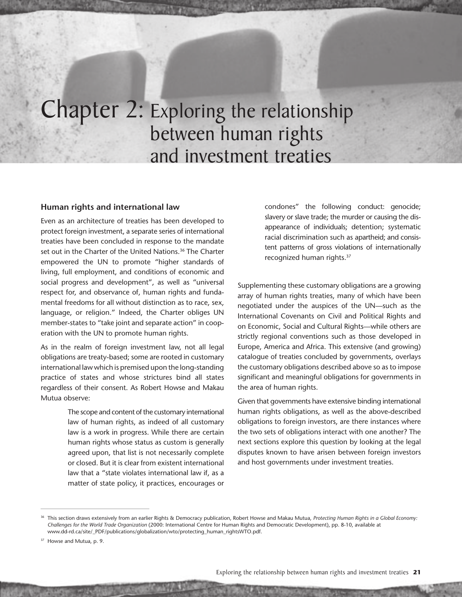## Chapter 2: Exploring the relationship between human rights and investment treaties

#### **Human rights and international law**

Even as an architecture of treaties has been developed to protect foreign investment, a separate series of international treaties have been concluded in response to the mandate set out in the Charter of the United Nations.<sup>36</sup> The Charter empowered the UN to promote "higher standards of living, full employment, and conditions of economic and social progress and development", as well as "universal respect for, and observance of, human rights and fundamental freedoms for all without distinction as to race, sex, language, or religion." Indeed, the Charter obliges UN member-states to "take joint and separate action" in cooperation with the UN to promote human rights.

As in the realm of foreign investment law, not all legal obligations are treaty-based; some are rooted in customary international law which is premised upon the long-standing practice of states and whose strictures bind all states regardless of their consent. As Robert Howse and Makau Mutua observe:

> The scope and content of the customary international law of human rights, as indeed of all customary law is a work in progress. While there are certain human rights whose status as custom is generally agreed upon, that list is not necessarily complete or closed. But it is clear from existent international law that a "state violates international law if, as a matter of state policy, it practices, encourages or

condones" the following conduct: genocide; slavery or slave trade; the murder or causing the disappearance of individuals; detention; systematic racial discrimination such as apartheid; and consistent patterns of gross violations of internationally recognized human rights.37

Supplementing these customary obligations are a growing array of human rights treaties, many of which have been negotiated under the auspices of the UN—such as the International Covenants on Civil and Political Rights and on Economic, Social and Cultural Rights—while others are strictly regional conventions such as those developed in Europe, America and Africa. This extensive (and growing) catalogue of treaties concluded by governments, overlays the customary obligations described above so as to impose significant and meaningful obligations for governments in the area of human rights.

Given that governments have extensive binding international human rights obligations, as well as the above-described obligations to foreign investors, are there instances where the two sets of obligations interact with one another? The next sections explore this question by looking at the legal disputes known to have arisen between foreign investors and host governments under investment treaties.

<sup>37</sup> Howse and Mutua, p. 9.

<sup>36</sup> This section draws extensively from an earlier Rights & Democracy publication, Robert Howse and Makau Mutua, *Protecting Human Rights in a Global Economy: Challenges for the World Trade Organization* (2000: International Centre for Human Rights and Democratic Development), pp. 8-10, available at www.dd-rd.ca/site/\_PDF/publications/globalization/wto/protecting\_human\_rightsWTO.pdf.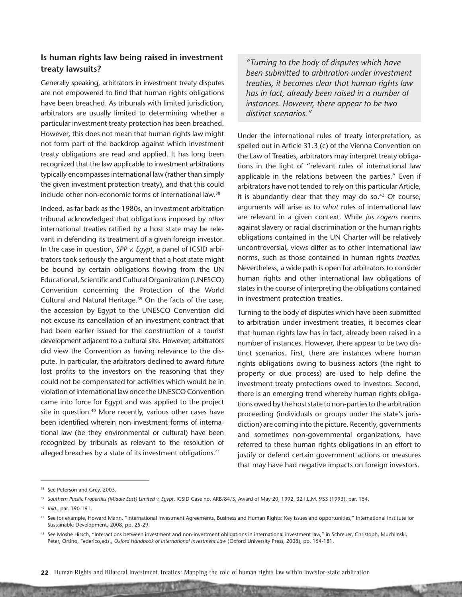## **Is human rights law being raised in investment treaty lawsuits?**

Generally speaking, arbitrators in investment treaty disputes are not empowered to find that human rights obligations have been breached. As tribunals with limited jurisdiction, arbitrators are usually limited to determining whether a particular investment treaty protection has been breached. However, this does not mean that human rights law might not form part of the backdrop against which investment treaty obligations are read and applied. It has long been recognized that the law applicable to investment arbitrations typically encompasses international law (rather than simply the given investment protection treaty), and that this could include other non-economic forms of international law.38

Indeed, as far back as the 1980s, an investment arbitration tribunal acknowledged that obligations imposed by *other* international treaties ratified by a host state may be relevant in defending its treatment of a given foreign investor. In the case in question, *SPP v. Egypt*, a panel of ICSID arbitrators took seriously the argument that a host state might be bound by certain obligations flowing from the UN Educational, Scientific and Cultural Organization (UNESCO) Convention concerning the Protection of the World Cultural and Natural Heritage.39 On the facts of the case, the accession by Egypt to the UNESCO Convention did not excuse its cancellation of an investment contract that had been earlier issued for the construction of a tourist development adjacent to a cultural site. However, arbitrators did view the Convention as having relevance to the dispute. In particular, the arbitrators declined to award *future* lost profits to the investors on the reasoning that they could not be compensated for activities which would be in violation of international law once the UNESCO Convention came into force for Egypt and was applied to the project site in question.<sup>40</sup> More recently, various other cases have been identified wherein non-investment forms of international law (be they environmental or cultural) have been recognized by tribunals as relevant to the resolution of alleged breaches by a state of its investment obligations.<sup>41</sup>

*"Turning to the body of disputes which have been submitted to arbitration under investment treaties, it becomes clear that human rights law has in fact, already been raised in a number of instances. However, there appear to be two distinct scenarios."* 

Under the international rules of treaty interpretation, as spelled out in Article 31.3 (c) of the Vienna Convention on the Law of Treaties, arbitrators may interpret treaty obligations in the light of "relevant rules of international law applicable in the relations between the parties." Even if arbitrators have not tended to rely on this particular Article, it is abundantly clear that they may do so. $42$  Of course, arguments will arise as to *what* rules of international law are relevant in a given context. While *jus cogens* norms against slavery or racial discrimination or the human rights obligations contained in the UN Charter will be relatively uncontroversial, views differ as to other international law norms, such as those contained in human rights *treaties*. Nevertheless, a wide path is open for arbitrators to consider human rights and other international law obligations of states in the course of interpreting the obligations contained in investment protection treaties.

Turning to the body of disputes which have been submitted to arbitration under investment treaties, it becomes clear that human rights law has in fact, already been raised in a number of instances. However, there appear to be two distinct scenarios. First, there are instances where human rights obligations owing to business actors (the right to property or due process) are used to help define the investment treaty protections owed to investors. Second, there is an emerging trend whereby human rights obligations owed by the host state to non-parties to the arbitration proceeding (individuals or groups under the state's jurisdiction) are coming into the picture. Recently, governments and sometimes non-governmental organizations, have referred to these human rights obligations in an effort to justify or defend certain government actions or measures that may have had negative impacts on foreign investors.

<sup>&</sup>lt;sup>38</sup> See Peterson and Grey, 2003.

<sup>39</sup>*Southern Pacific Properties (Middle East) Limited v. Egypt*, ICSID Case no. ARB/84/3, Award of May 20, 1992, 32 I.L.M. 933 (1993), par. 154.

<sup>40</sup> *Ibid*., par. 190-191.

<sup>41</sup> See for example, Howard Mann, "International Investment Agreements, Business and Human Rights: Key issues and opportunities," International Institute for Sustainable Development, 2008, pp. 25-29.

<sup>42</sup> See Moshe Hirsch, "Interactions between investment and non-investment obligations in international investment law," in Schreuer, Christoph, Muchlinski, Peter, Ortino, Federico,eds., *Oxford Handbook of International Investment Law* (Oxford University Press, 2008), pp. 154-181.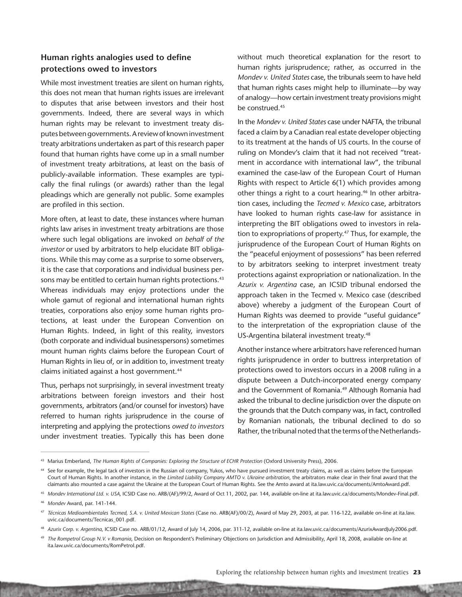## **Human rights analogies used to define protections owed to investors**

While most investment treaties are silent on human rights, this does not mean that human rights issues are irrelevant to disputes that arise between investors and their host governments. Indeed, there are several ways in which human rights may be relevant to investment treaty disputes between governments. A review of known investment treaty arbitrations undertaken as part of this research paper found that human rights have come up in a small number of investment treaty arbitrations, at least on the basis of publicly-available information. These examples are typically the final rulings (or awards) rather than the legal pleadings which are generally not public. Some examples are profiled in this section.

More often, at least to date, these instances where human rights law arises in investment treaty arbitrations are those where such legal obligations are invoked *on behalf of the investor* or used by arbitrators to help elucidate BIT obligations. While this may come as a surprise to some observers, it is the case that corporations and individual business persons may be entitled to certain human rights protections.<sup>43</sup> Whereas individuals may enjoy protections under the whole gamut of regional and international human rights treaties, corporations also enjoy some human rights protections, at least under the European Convention on Human Rights. Indeed, in light of this reality, investors (both corporate and individual businesspersons) sometimes mount human rights claims before the European Court of Human Rights in lieu of, or in addition to, investment treaty claims initiated against a host government.<sup>44</sup>

Thus, perhaps not surprisingly, in several investment treaty arbitrations between foreign investors and their host governments, arbitrators (and/or counsel for investors) have referred to human rights jurisprudence in the course of interpreting and applying the protections *owed to investors* under investment treaties. Typically this has been done

without much theoretical explanation for the resort to human rights jurisprudence; rather, as occurred in the *Mondev v. United States* case, the tribunals seem to have held that human rights cases might help to illuminate—by way of analogy—how certain investment treaty provisions might be construed.45

In the *Mondev v. United States* case under NAFTA, the tribunal faced a claim by a Canadian real estate developer objecting to its treatment at the hands of US courts. In the course of ruling on Mondev's claim that it had not received "treatment in accordance with international law", the tribunal examined the case-law of the European Court of Human Rights with respect to Article 6(1) which provides among other things a right to a court hearing.<sup>46</sup> In other arbitration cases, including the *Tecmed v. Mexico* case, arbitrators have looked to human rights case-law for assistance in interpreting the BIT obligations owed to investors in relation to expropriations of property.47 Thus, for example, the jurisprudence of the European Court of Human Rights on the "peaceful enjoyment of possessions" has been referred to by arbitrators seeking to interpret investment treaty protections against expropriation or nationalization. In the *Azurix v. Argentina* case, an ICSID tribunal endorsed the approach taken in the Tecmed v. Mexico case (described above) whereby a judgment of the European Court of Human Rights was deemed to provide "useful guidance" to the interpretation of the expropriation clause of the US-Argentina bilateral investment treaty.<sup>48</sup>

Another instance where arbitrators have referenced human rights jurisprudence in order to buttress interpretation of protections owed to investors occurs in a 2008 ruling in a dispute between a Dutch-incorporated energy company and the Government of Romania.<sup>49</sup> Although Romania had asked the tribunal to decline jurisdiction over the dispute on the grounds that the Dutch company was, in fact, controlled by Romanian nationals, the tribunal declined to do so Rather, the tribunal noted that the terms of the Netherlands-

<sup>&</sup>lt;sup>43</sup> Marius Emberland, *The Human Rights of Companies: Exploring the Structure of ECHR Protection* (Oxford University Press), 2006.

<sup>44</sup> See for example, the legal tack of investors in the Russian oil company, Yukos, who have pursued investment treaty claims, as well as claims before the European Court of Human Rights. In another instance, in the *Limited Liability Company AMTO v. Ukraine arbitration*, the arbitrators make clear in their final award that the claimants also mounted a case against the Ukraine at the European Court of Human Rights. See the Amto award at ita.law.uvic.ca/documents/AmtoAward.pdf.

<sup>45</sup>*Mondev International Ltd. v. USA*, ICSID Case no. ARB/(AF)/99/2, Award of Oct 11, 2002, par. 144, available on-line at ita.law.uvic.ca/documents/Mondev-Final.pdf.

<sup>46</sup> *Mondev* Award, par. 141-144.

<sup>47</sup>*Técnicas Medioambientales Tecmed, S.A. v. United Mexican States* (Case no. ARB(AF)/00/2), Award of May 29, 2003, at par. 116-122, available on-line at ita.law. uvic.ca/documents/Tecnicas\_001.pdf.

<sup>48</sup>*Azurix Corp. v. Argentina*, ICSID Case no. ARB/01/12, Award of July 14, 2006, par. 311-12, available on-line at ita.law.uvic.ca/documents/AzurixAwardJuly2006.pdf.

<sup>49</sup>*The Rompetrol Group N.V. v Romania*, Decision on Respondent's Preliminary Objections on Jurisdiction and Admissibility, April 18, 2008, available on-line at ita.law.uvic.ca/documents/RomPetrol.pdf.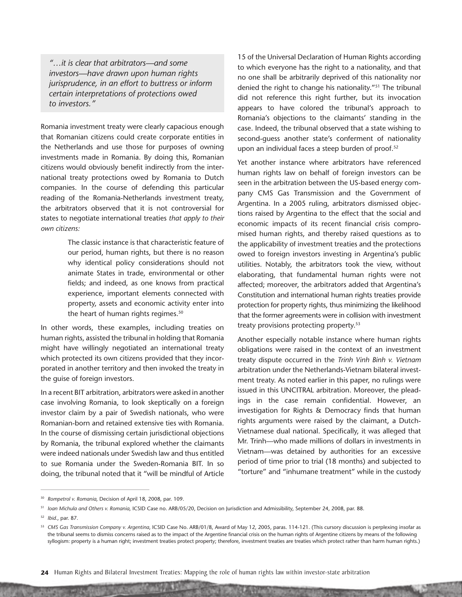*"…it is clear that arbitrators—and some investors—have drawn upon human rights jurisprudence, in an effort to buttress or inform certain interpretations of protections owed to investors."* 

Romania investment treaty were clearly capacious enough that Romanian citizens could create corporate entities in the Netherlands and use those for purposes of owning investments made in Romania. By doing this, Romanian citizens would obviously benefit indirectly from the international treaty protections owed by Romania to Dutch companies. In the course of defending this particular reading of the Romania-Netherlands investment treaty, the arbitrators observed that it is not controversial for states to negotiate international treaties *that apply to their own citizens:*

> The classic instance is that characteristic feature of our period, human rights, but there is no reason why identical policy considerations should not animate States in trade, environmental or other fields; and indeed, as one knows from practical experience, important elements connected with property, assets and economic activity enter into the heart of human rights regimes.<sup>50</sup>

In other words, these examples, including treaties on human rights, assisted the tribunal in holding that Romania might have willingly negotiated an international treaty which protected its own citizens provided that they incorporated in another territory and then invoked the treaty in the guise of foreign investors.

In a recent BIT arbitration, arbitrators were asked in another case involving Romania, to look skeptically on a foreign investor claim by a pair of Swedish nationals, who were Romanian-born and retained extensive ties with Romania. In the course of dismissing certain jurisdictional objections by Romania, the tribunal explored whether the claimants were indeed nationals under Swedish law and thus entitled to sue Romania under the Sweden-Romania BIT. In so doing, the tribunal noted that it "will be mindful of Article 15 of the Universal Declaration of Human Rights according to which everyone has the right to a nationality, and that no one shall be arbitrarily deprived of this nationality nor denied the right to change his nationality."<sup>51</sup> The tribunal did not reference this right further, but its invocation appears to have colored the tribunal's approach to Romania's objections to the claimants' standing in the case. Indeed, the tribunal observed that a state wishing to second-guess another state's conferment of nationality upon an individual faces a steep burden of proof.<sup>52</sup>

Yet another instance where arbitrators have referenced human rights law on behalf of foreign investors can be seen in the arbitration between the US-based energy company CMS Gas Transmission and the Government of Argentina. In a 2005 ruling, arbitrators dismissed objections raised by Argentina to the effect that the social and economic impacts of its recent financial crisis compromised human rights, and thereby raised questions as to the applicability of investment treaties and the protections owed to foreign investors investing in Argentina's public utilities. Notably, the arbitrators took the view, without elaborating, that fundamental human rights were not affected; moreover, the arbitrators added that Argentina's Constitution and international human rights treaties provide protection for property rights, thus minimizing the likelihood that the former agreements were in collision with investment treaty provisions protecting property.53

Another especially notable instance where human rights obligations were raised in the context of an investment treaty dispute occurred in the *Trinh Vinh Binh v. Vietnam*  arbitration under the Netherlands-Vietnam bilateral investment treaty. As noted earlier in this paper, no rulings were issued in this UNCITRAL arbitration. Moreover, the pleadings in the case remain confidential. However, an investigation for Rights & Democracy finds that human rights arguments were raised by the claimant, a Dutch-Vietnamese dual national. Specifically, it was alleged that Mr. Trinh—who made millions of dollars in investments in Vietnam—was detained by authorities for an excessive period of time prior to trial (18 months) and subjected to "torture" and "inhumane treatment" while in the custody

<sup>50</sup>*Rompetrol v. Romania*, Decision of April 18, 2008, par. 109.

<sup>51</sup>*Ioan Michula and Others v. Romania*, ICSID Case no. ARB/05/20, Decision on Jurisdiction and Admissibility, September 24, 2008, par. 88.

<sup>52</sup> *Ibid*., par. 87.

<sup>&</sup>lt;sup>53</sup> CMS Gas Transmission Company v. Argentina, ICSID Case No. ARB/01/8, Award of May 12, 2005, paras. 114-121. (This cursory discussion is perplexing insofar as the tribunal seems to dismiss concerns raised as to the impact of the Argentine financial crisis on the human rights of Argentine citizens by means of the following syllogism: property is a human right; investment treaties protect property; therefore, investment treaties are treaties which protect rather than harm human rights.)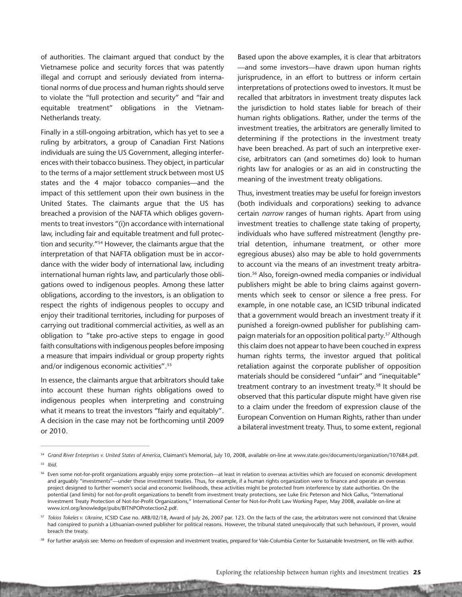of authorities. The claimant argued that conduct by the Vietnamese police and security forces that was patently illegal and corrupt and seriously deviated from international norms of due process and human rights should serve to violate the "full protection and security" and "fair and equitable treatment" obligations in the Vietnam-Netherlands treaty.

Finally in a still-ongoing arbitration, which has yet to see a ruling by arbitrators, a group of Canadian First Nations individuals are suing the US Government, alleging interferences with their tobacco business. They object, in particular to the terms of a major settlement struck between most US states and the 4 major tobacco companies—and the impact of this settlement upon their own business in the United States. The claimants argue that the US has breached a provision of the NAFTA which obliges governments to treat investors "(i)n accordance with international law, including fair and equitable treatment and full protection and security."54 However, the claimants argue that the interpretation of that NAFTA obligation must be in accordance with the wider body of international law, including international human rights law, and particularly those obligations owed to indigenous peoples. Among these latter obligations, according to the investors, is an obligation to respect the rights of indigenous peoples to occupy and enjoy their traditional territories, including for purposes of carrying out traditional commercial activities, as well as an obligation to "take pro-active steps to engage in good faith consultations with indigenous peoples before imposing a measure that impairs individual or group property rights and/or indigenous economic activities".<sup>55</sup>

In essence, the claimants argue that arbitrators should take into account these human rights obligations owed to indigenous peoples when interpreting and construing what it means to treat the investors "fairly and equitably". A decision in the case may not be forthcoming until 2009 or 2010.

Based upon the above examples, it is clear that arbitrators —and some investors—have drawn upon human rights jurisprudence, in an effort to buttress or inform certain interpretations of protections owed to investors. It must be recalled that arbitrators in investment treaty disputes lack the jurisdiction to hold states liable for breach of their human rights obligations. Rather, under the terms of the investment treaties, the arbitrators are generally limited to determining if the protections in the investment treaty have been breached. As part of such an interpretive exercise, arbitrators can (and sometimes do) look to human rights law for analogies or as an aid in constructing the meaning of the investment treaty obligations.

Thus, investment treaties may be useful for foreign investors (both individuals and corporations) seeking to advance certain *narrow* ranges of human rights. Apart from using investment treaties to challenge state taking of property, individuals who have suffered mistreatment (lengthy pretrial detention, inhumane treatment, or other more egregious abuses) also may be able to hold governments to account via the means of an investment treaty arbitration.56 Also, foreign-owned media companies or individual publishers might be able to bring claims against governments which seek to censor or silence a free press. For example, in one notable case, an ICSID tribunal indicated that a government would breach an investment treaty if it punished a foreign-owned publisher for publishing campaign materials for an opposition political party.57 Although this claim does not appear to have been couched in express human rights terms, the investor argued that political retaliation against the corporate publisher of opposition materials should be considered "unfair" and "inequitable" treatment contrary to an investment treaty.<sup>58</sup> It should be observed that this particular dispute might have given rise to a claim under the freedom of expression clause of the European Convention on Human Rights, rather than under a bilateral investment treaty. Thus, to some extent, regional

<sup>54</sup>*Grand River Enterprises v. United States of America*, Claimant's Memorial, July 10, 2008, available on-line at www.state.gov/documents/organization/107684.pdf. <sup>55</sup> *Ibid*.

<sup>56</sup> Even some not-for-profit organizations arguably enjoy some protection—at least in relation to overseas activities which are focused on economic development and arguably "investments"—under these investment treaties. Thus, for example, if a human rights organization were to finance and operate an overseas project designed to further women's social and economic livelihoods, these activities might be protected from interference by state authorities. On the potential (and limits) for not-for-profit organizations to benefit from investment treaty protections, see Luke Eric Peterson and Nick Gallus, "International Investment Treaty Protection of Not-for-Profit Organizations," International Center for Not-for-Profit Law Working Paper, May 2008, available on-line at www.icnl.org/knowledge/pubs/BITNPOProtection2.pdf.

<sup>57</sup>*Tokios Tokeles v. Ukraine*, ICSID Case no. ARB/02/18, Award of July 26, 2007 par. 123. On the facts of the case, the arbitrators were not convinced that Ukraine had conspired to punish a Lithuanian-owned publisher for political reasons. However, the tribunal stated unequivocally that such behaviours, if proven, would breach the treaty.

<sup>58</sup> For further analysis see: Memo on freedom of expression and investment treaties, prepared for Vale-Columbia Center for Sustainable Investment, on file with author.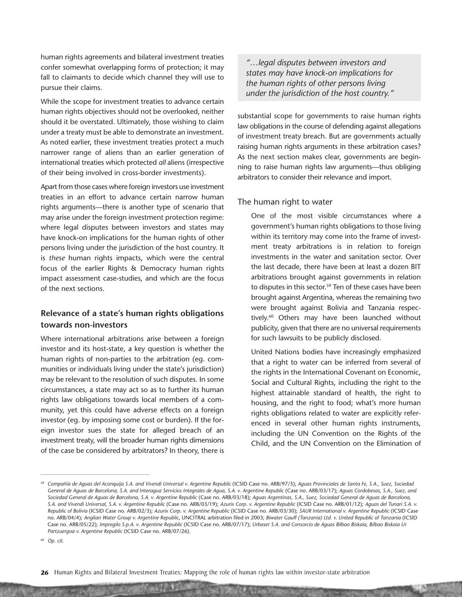human rights agreements and bilateral investment treaties confer somewhat overlapping forms of protection; it may fall to claimants to decide which channel they will use to pursue their claims.

While the scope for investment treaties to advance certain human rights objectives should not be overlooked, neither should it be overstated. Ultimately, those wishing to claim under a treaty must be able to demonstrate an investment. As noted earlier, these investment treaties protect a much narrower range of aliens than an earlier generation of international treaties which protected *all* aliens (irrespective of their being involved in cross-border investments).

Apart from those cases where foreign investors use investment treaties in an effort to advance certain narrow human rights arguments—there is another type of scenario that may arise under the foreign investment protection regime: where legal disputes between investors and states may have knock-on implications for the human rights of other persons living under the jurisdiction of the host country. It is *these* human rights impacts, which were the central focus of the earlier Rights & Democracy human rights impact assessment case-studies, and which are the focus of the next sections.

## **Relevance of a state's human rights obligations towards non-investors**

Where international arbitrations arise between a foreign investor and its host-state, a key question is whether the human rights of non-parties to the arbitration (eg. communities or individuals living under the state's jurisdiction) may be relevant to the resolution of such disputes. In some circumstances, a state may act so as to further its human rights law obligations towards local members of a community, yet this could have adverse effects on a foreign investor (eg. by imposing some cost or burden). If the foreign investor sues the state for alleged breach of an investment treaty, will the broader human rights dimensions of the case be considered by arbitrators? In theory, there is

*"…legal disputes between investors and states may have knock-on implications for the human rights of other persons living under the jurisdiction of the host country."* 

substantial scope for governments to raise human rights law obligations in the course of defending against allegations of investment treaty breach. But are governments actually raising human rights arguments in these arbitration cases? As the next section makes clear, governments are beginning to raise human rights law arguments—thus obliging arbitrators to consider their relevance and import.

#### The human right to water

One of the most visible circumstances where a government's human rights obligations to those living within its territory may come into the frame of investment treaty arbitrations is in relation to foreign investments in the water and sanitation sector. Over the last decade, there have been at least a dozen BIT arbitrations brought against governments in relation to disputes in this sector.<sup>59</sup> Ten of these cases have been brought against Argentina, whereas the remaining two were brought against Bolivia and Tanzania respectively.<sup>60</sup> Others may have been launched without publicity, given that there are no universal requirements for such lawsuits to be publicly disclosed.

United Nations bodies have increasingly emphasized that a right to water can be inferred from several of the rights in the International Covenant on Economic, Social and Cultural Rights, including the right to the highest attainable standard of health, the right to housing, and the right to food; what's more human rights obligations related to water are explicitly referenced in several other human rights instruments, including the UN Convention on the Rights of the Child, and the UN Convention on the Elimination of

60 *Op. cit*.

<sup>59</sup>*Compañía de Aguas del Aconquija S.A. and Vivendi Universal v. Argentine Republic* (ICSID Case no. ARB/97/3); *Aguas Provinciales de Santa Fe, S.A., Suez, Sociedad*  General de Aguas de Barcelona, S.A. and Interagua Servicios Integrales de Agua, S.A. v. Argentine Republic (Case no. ARB/03/17); Aguas Cordobesas, S.A., Suez, and *Sociedad General de Aguas de Barcelona, S.A. v. Argentine Republic* (Case no. ARB/03/18); *Aguas Argentinas, S.A., Suez, Sociedad General de Aguas de Barcelona, S.A. and Vivendi Universal, S.A. v. Argentine Republic* (Case no. ARB/03/19); *Azurix Corp. v. Argentine Republic* (ICSID Case no. ARB/01/12); *Aguas del Tunari S.A. v. Republic of Bolivia* (ICSID Case no. ARB/02/3); *Azurix Corp. v. Argentine Republic* (ICSID Case no. ARB/03/30); *SAUR International v. Argentine Republic* (ICSID Case no. ARB/04/4); *Anglian Water Group v. Argentine Republic*, UNCITRAL arbitration filed in 2003; *Biwater Gauff (Tanzania) Ltd. v. United Republic of Tanzania* (ICSID Case no. ARB/05/22); *Impregilo S.p.A. v. Argentine Republic* (ICSID Case no. ARB/07/17); *Urbaser S.A. and Consorcio de Aguas Bilbao Biskaia, Bilbao Biskaia Ur Partzuergoa v. Argentine Republic* (ICSID Case no. ARB/07/26).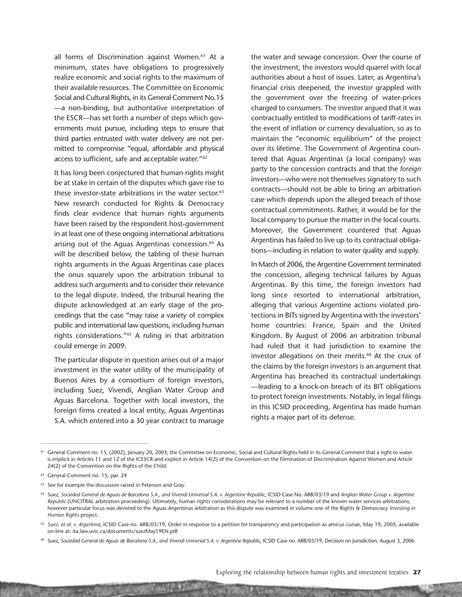all forms of Discrimination against Women.<sup>61</sup> At a minimum, states have obligations to progressively realize economic and social rights to the maximum of their available resources. The Committee on Economic Social and Cultural Rights, in its General Comment No.15 —a non-binding, but authoritative interpretation of the ESCR—has set forth a number of steps which governments must pursue, including steps to ensure that third parties entrusted with water delivery are not permitted to compromise "equal, affordable and physical access to sufficient, safe and acceptable water."62

It has long been conjectured that human rights might be at stake in certain of the disputes which gave rise to these investor-state arbitrations in the water sector. $63$ New research conducted for Rights & Democracy finds clear evidence that human rights arguments have been raised by the respondent host-government in at least one of these ongoing international arbitrations arising out of the Aguas Argentinas concession.<sup>64</sup> As will be described below, the tabling of these human rights arguments in the Aguas Argentinas case places the onus squarely upon the arbitration tribunal to address such arguments and to consider their relevance to the legal dispute. Indeed, the tribunal hearing the dispute acknowledged at an early stage of the proceedings that the case "may raise a variety of complex public and international law questions, including human rights considerations."65 A ruling in that arbitration could emerge in 2009.

The particular dispute in question arises out of a major investment in the water utility of the municipality of Buenos Aires by a consortium of foreign investors, including Suez, Vivendi, Anglian Water Group and Aguas Barcelona. Together with local investors, the foreign firms created a local entity, Aguas Argentinas S.A. which entered into a 30 year contract to manage

the water and sewage concession. Over the course of the investment, the investors would quarrel with local authorities about a host of issues. Later, as Argentina's financial crisis deepened, the investor grappled with the government over the freezing of water-prices charged to consumers. The investor argued that it was contractually entitled to modifications of tariff-rates in the event of inflation or currency devaluation, so as to maintain the "economic equilibrium" of the project over its lifetime. The Government of Argentina countered that Aguas Argentinas (a local company) was party to the concession contracts and that the *foreign* investors—who were not themselves signatory to such contracts—should not be able to bring an arbitration case which depends upon the alleged breach of those contractual commitments. Rather, it would be for the local company to pursue the matter in the local courts. Moreover, the Government countered that Aguas Argentinas has failed to live up to its contractual obligations—including in relation to water quality and supply.

In March of 2006, the Argentine Government terminated the concession, alleging technical failures by Aguas Argentinas. By this time, the foreign investors had long since resorted to international arbitration, alleging that various Argentine actions violated protections in BITs signed by Argentina with the investors' home countries: France, Spain and the United Kingdom. By August of 2006 an arbitration tribunal had ruled that it had jurisdiction to examine the investor allegations on their merits.<sup>66</sup> At the crux of the claims by the foreign investors is an argument that Argentina has breached its contractual undertakings —leading to a knock-on breach of its BIT obligations to protect foreign investments. Notably, in legal filings in this ICSID proceeding, Argentina has made human rights a major part of its defense.

 $61$  General Comment no. 15, (2002), January 20, 2003; the Committee on Economic, Social and Cultural Rights held in its General Comment that a right to water is implicit in Articles 11 and 12 of the ICESCR and explicit in Article 14(2) of the Convention on the Elimination of Discrimination Against Women and Article 24(2) of the Convention on the Rights of the Child.

<sup>62</sup> General Comment no. 15, par. 24

<sup>&</sup>lt;sup>63</sup> See for example the discussion raised in Peterson and Gray.

<sup>64</sup> Suez, *Socieded General de Aguas de Barcelona S.A., and Vivendi Universal S.A. v. Argentine Republic*, ICSID Case No. ARB/03/19 and *Anglian Water Group v. Argentine Republic* (UNCITRAL arbitration proceeding). Ultimately, human rights considerations may be relevant to a number of the known water services arbitrations, however particular focus was devoted to the Aguas Argentinas arbitration as this dispute was examined in volume one of the Rights & Democracy *Investing in Human Rights* project.

<sup>65</sup>*Suez, et al. v. Argentina*, ICSID Case no. ARB/03/19, Order in response to a petition for transparency and participation as amicus curiae, May 19, 2005, available on-line at: ita.law.uvic.ca/documents/suezMay19EN.pdf

<sup>&</sup>lt;sup>66</sup> Suez, Sociedad General de Aguas de Barcelona S.A., and Vivendi Universal S.A. v. Argentine Republic, ICSID Case no. ARB/03/19, Decision on Jurisdiction, August 3, 2006.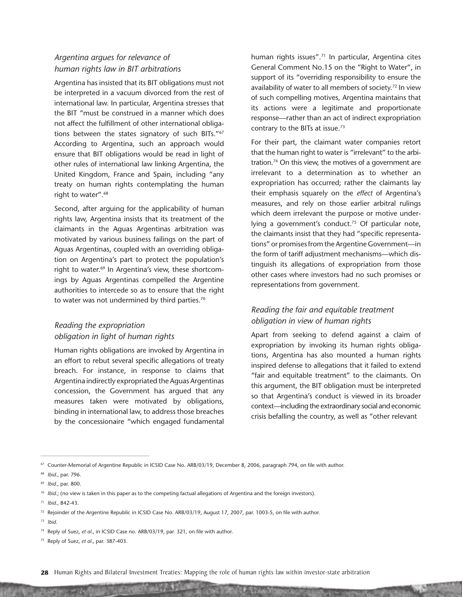## *Argentina argues for relevance of human rights law in BIT arbitrations*

Argentina has insisted that its BIT obligations must not be interpreted in a vacuum divorced from the rest of international law. In particular, Argentina stresses that the BIT "must be construed in a manner which does not affect the fulfillment of other international obligations between the states signatory of such BITs."67 According to Argentina, such an approach would ensure that BIT obligations would be read in light of other rules of international law linking Argentina, the United Kingdom, France and Spain, including "any treaty on human rights contemplating the human right to water".68

Second, after arguing for the applicability of human rights law, Argentina insists that its treatment of the claimants in the Aguas Argentinas arbitration was motivated by various business failings on the part of Aguas Argentinas, coupled with an overriding obligation on Argentina's part to protect the population's right to water.<sup>69</sup> In Argentina's view, these shortcomings by Aguas Argentinas compelled the Argentine authorities to intercede so as to ensure that the right to water was not undermined by third parties.<sup>70</sup>

## *Reading the expropriation obligation in light of human rights*

Human rights obligations are invoked by Argentina in an effort to rebut several specific allegations of treaty breach. For instance, in response to claims that Argentina indirectly expropriated the Aguas Argentinas concession, the Government has argued that any measures taken were motivated by obligations, binding in international law, to address those breaches by the concessionaire "which engaged fundamental

human rights issues".71 In particular, Argentina cites General Comment No.15 on the "Right to Water", in support of its "overriding responsibility to ensure the availability of water to all members of society.<sup>72</sup> In view of such compelling motives, Argentina maintains that its actions were a legitimate and proportionate response—rather than an act of indirect expropriation contrary to the BITs at issue.73

For their part, the claimant water companies retort that the human right to water is "irrelevant" to the arbitration.74 On this view, the motives of a government are irrelevant to a determination as to whether an expropriation has occurred; rather the claimants lay their emphasis squarely on the *effect* of Argentina's measures, and rely on those earlier arbitral rulings which deem irrelevant the purpose or motive underlying a government's conduct.<sup>75</sup> Of particular note, the claimants insist that they had "specific representations" or promises from the Argentine Government—in the form of tariff adjustment mechanisms—which distinguish its allegations of expropriation from those other cases where investors had no such promises or representations from government.

## *Reading the fair and equitable treatment obligation in view of human rights*

Apart from seeking to defend against a claim of expropriation by invoking its human rights obligations, Argentina has also mounted a human rights inspired defense to allegations that it failed to extend "fair and equitable treatment" to the claimants. On this argument, the BIT obligation must be interpreted so that Argentina's conduct is viewed in its broader context—including the extraordinary social and economic crisis befalling the country, as well as "other relevant

<sup>71</sup> *Ibid*., 842-43.

<sup>&</sup>lt;sup>67</sup> Counter-Memorial of Argentine Republic in ICSID Case No. ARB/03/19, December 8, 2006, paragraph 794, on file with author.

<sup>68</sup> *Ibid*., par. 796.

<sup>69</sup> *Ibid*., par. 800.

<sup>70</sup> *Ibid*.; (no view is taken in this paper as to the competing factual allegations of Argentina and the foreign investors).

<sup>72</sup> Rejoinder of the Argentine Republic in ICSID Case No. ARB/03/19, August 17, 2007, par. 1003-5, on file with author.

<sup>73</sup> *Ibid*.

<sup>74</sup> Reply of Suez, *et al*., in ICSID Case no. ARB/03/19, par. 321, on file with author.

<sup>75</sup> Reply of Suez, *et al*., par. 387-403.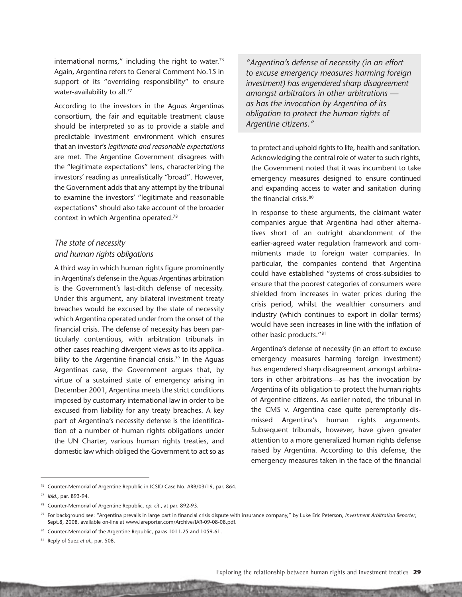international norms," including the right to water.<sup>76</sup> Again, Argentina refers to General Comment No.15 in support of its "overriding responsibility" to ensure water-availability to all.<sup>77</sup>

According to the investors in the Aguas Argentinas consortium, the fair and equitable treatment clause should be interpreted so as to provide a stable and predictable investment environment which ensures that an investor's *legitimate and reasonable expectations* are met. The Argentine Government disagrees with the "legitimate expectations" lens, characterizing the investors' reading as unrealistically "broad". However, the Government adds that any attempt by the tribunal to examine the investors' "legitimate and reasonable expectations" should also take account of the broader context in which Argentina operated.78

## *The state of necessity and human rights obligations*

A third way in which human rights figure prominently in Argentina's defense in the Aguas Argentinas arbitration is the Government's last-ditch defense of necessity. Under this argument, any bilateral investment treaty breaches would be excused by the state of necessity which Argentina operated under from the onset of the financial crisis. The defense of necessity has been particularly contentious, with arbitration tribunals in other cases reaching divergent views as to its applicability to the Argentine financial crisis.<sup>79</sup> In the Aguas Argentinas case, the Government argues that, by virtue of a sustained state of emergency arising in December 2001, Argentina meets the strict conditions imposed by customary international law in order to be excused from liability for any treaty breaches. A key part of Argentina's necessity defense is the identification of a number of human rights obligations under the UN Charter, various human rights treaties, and domestic law which obliged the Government to act so as

*"Argentina's defense of necessity (in an effort to excuse emergency measures harming foreign investment) has engendered sharp disagreement amongst arbitrators in other arbitrations as has the invocation by Argentina of its obligation to protect the human rights of Argentine citizens."* 

to protect and uphold rights to life, health and sanitation. Acknowledging the central role of water to such rights, the Government noted that it was incumbent to take emergency measures designed to ensure continued and expanding access to water and sanitation during the financial crisis.<sup>80</sup>

In response to these arguments, the claimant water companies argue that Argentina had other alternatives short of an outright abandonment of the earlier-agreed water regulation framework and commitments made to foreign water companies. In particular, the companies contend that Argentina could have established "systems of cross-subsidies to ensure that the poorest categories of consumers were shielded from increases in water prices during the crisis period, whilst the wealthier consumers and industry (which continues to export in dollar terms) would have seen increases in line with the inflation of other basic products."81

Argentina's defense of necessity (in an effort to excuse emergency measures harming foreign investment) has engendered sharp disagreement amongst arbitrators in other arbitrations—as has the invocation by Argentina of its obligation to protect the human rights of Argentine citizens. As earlier noted, the tribunal in the CMS v. Argentina case quite peremptorily dismissed Argentina's human rights arguments. Subsequent tribunals, however, have given greater attention to a more generalized human rights defense raised by Argentina. According to this defense, the emergency measures taken in the face of the financial

<sup>76</sup> Counter-Memorial of Argentine Republic in ICSID Case No. ARB/03/19, par. 864.

<sup>77</sup> *Ibid*., par. 893-94.

<sup>78</sup> Counter-Memorial of Argentine Republic, *op. cit.*, at par. 892-93.

<sup>79</sup> For background see: "Argentina prevails in large part in financial crisis dispute with insurance company," by Luke Eric Peterson, *Investment Arbitration Reporter*, Sept.8, 2008, available on-line at www.iareporter.com/Archive/IAR-09-08-08.pdf.

<sup>80</sup> Counter-Memorial of the Argentine Republic, paras 1011-25 and 1059-61.

<sup>81</sup> Reply of Suez *et al*., par. 508.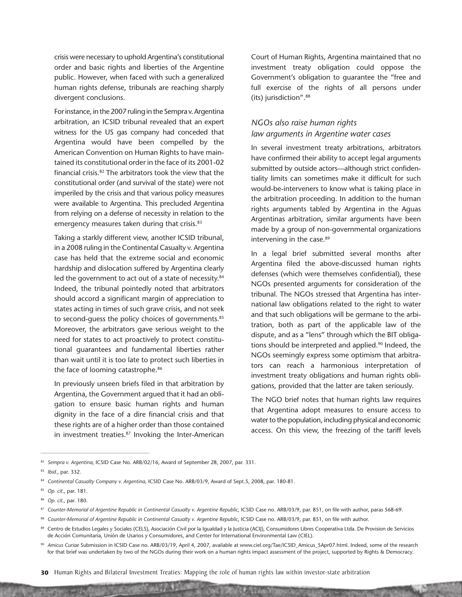crisis were necessary to uphold Argentina's constitutional order and basic rights and liberties of the Argentine public. However, when faced with such a generalized human rights defense, tribunals are reaching sharply divergent conclusions.

For instance, in the 2007 ruling in the Sempra v. Argentina arbitration, an ICSID tribunal revealed that an expert witness for the US gas company had conceded that Argentina would have been compelled by the American Convention on Human Rights to have maintained its constitutional order in the face of its 2001-02 financial crisis.82 The arbitrators took the view that the constitutional order (and survival of the state) were not imperiled by the crisis and that various policy measures were available to Argentina. This precluded Argentina from relying on a defense of necessity in relation to the emergency measures taken during that crisis.<sup>83</sup>

Taking a starkly different view, another ICSID tribunal, in a 2008 ruling in the Continental Casualty v. Argentina case has held that the extreme social and economic hardship and dislocation suffered by Argentina clearly led the government to act out of a state of necessity.<sup>84</sup> Indeed, the tribunal pointedly noted that arbitrators should accord a significant margin of appreciation to states acting in times of such grave crisis, and not seek to second-guess the policy choices of governments.<sup>85</sup> Moreover, the arbitrators gave serious weight to the need for states to act proactively to protect constitutional guarantees and fundamental liberties rather than wait until it is too late to protect such liberties in the face of looming catastrophe.<sup>86</sup>

In previously unseen briefs filed in that arbitration by Argentina, the Government argued that it had an obligation to ensure basic human rights and human dignity in the face of a dire financial crisis and that these rights are of a higher order than those contained in investment treaties.<sup>87</sup> Invoking the Inter-American

Court of Human Rights, Argentina maintained that no investment treaty obligation could oppose the Government's obligation to guarantee the "free and full exercise of the rights of all persons under (its) jurisdiction".88

## *NGOs also raise human rights law arguments in Argentine water cases*

In several investment treaty arbitrations, arbitrators have confirmed their ability to accept legal arguments submitted by outside actors—although strict confidentiality limits can sometimes make it difficult for such would-be-interveners to know what is taking place in the arbitration proceeding. In addition to the human rights arguments tabled by Argentina in the Aguas Argentinas arbitration, similar arguments have been made by a group of non-governmental organizations intervening in the case.<sup>89</sup>

In a legal brief submitted several months after Argentina filed the above-discussed human rights defenses (which were themselves confidential), these NGOs presented arguments for consideration of the tribunal. The NGOs stressed that Argentina has international law obligations related to the right to water and that such obligations will be germane to the arbitration, both as part of the applicable law of the dispute, and as a "lens" through which the BIT obligations should be interpreted and applied.<sup>90</sup> Indeed, the NGOs seemingly express some optimism that arbitrators can reach a harmonious interpretation of investment treaty obligations and human rights obligations, provided that the latter are taken seriously.

The NGO brief notes that human rights law requires that Argentina adopt measures to ensure access to water to the population, including physical and economic access. On this view, the freezing of the tariff levels

<sup>86</sup>*Op. cit*., par. 180.

<sup>82</sup>*Sempra v. Argentina*, ICSID Case No. ARB/02/16, Award of September 28, 2007, par. 331.

<sup>83</sup> *Ibid*., par. 332.

<sup>84</sup> Continental Casualty Company v. Argentina, ICSID Case No. ARB/03/9, Award of Sept.5, 2008, par. 180-81.

<sup>85</sup>*Op. cit*., par. 181.

<sup>&</sup>lt;sup>87</sup> Counter-Memorial of Argentine Republic in Continental Casualty v. Argentine Republic, ICSID Case no. ARB/03/9, par. 851, on file with author, paras 568-69.

<sup>88</sup> Counter-Memorial of Argentine Republic in Continental Casualty v. Argentine Republic, ICSID Case no. ARB/03/9, par. 851, on file with author.

<sup>89</sup> Centro de Estudios Legales y Sociales (CELS), Asociación Civil por la Igualdad y la Justicia (ACIJ), Consumidores Libres Cooperativa Ltda. De Provision de Servicios de Acción Comunitaria, Unión de Usarios y Consumidores, and Center for International Environmental Law (CIEL).

<sup>90</sup>*Amicus Curiae* Submission in ICSID Case no. ARB/03/19, April 4, 2007, available at www.ciel.org/Tae/ICSID\_Amicus\_5Apr07.html. Indeed, some of the research for that brief was undertaken by two of the NGOs during their work on a human rights impact assessment of the project, supported by Rights & Democracy.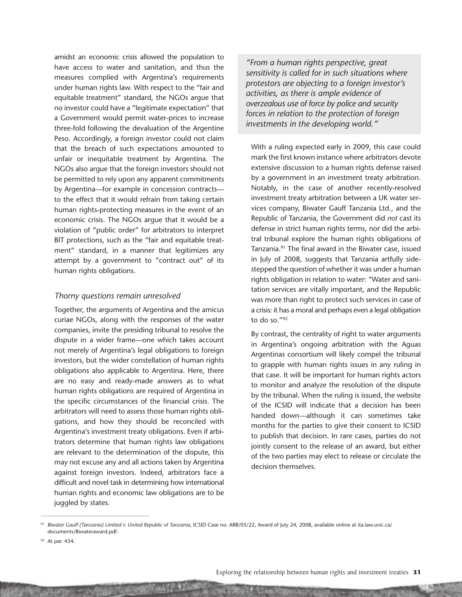amidst an economic crisis allowed the population to have access to water and sanitation, and thus the measures complied with Argentina's requirements under human rights law. With respect to the "fair and equitable treatment" standard, the NGOs argue that no investor could have a "legitimate expectation" that a Government would permit water-prices to increase three-fold following the devaluation of the Argentine Peso. Accordingly, a foreign investor could not claim that the breach of such expectations amounted to unfair or inequitable treatment by Argentina. The NGOs also argue that the foreign investors should not be permitted to rely upon any apparent commitments by Argentina—for example in concession contracts to the effect that it would refrain from taking certain human rights-protecting measures in the event of an economic crisis. The NGOs argue that it would be a violation of "public order" for arbitrators to interpret BIT protections, such as the "fair and equitable treatment" standard, in a manner that legitimizes any attempt by a government to "contract out" of its human rights obligations.

### *Thorny questions remain unresolved*

Together, the arguments of Argentina and the amicus curiae NGOs, along with the responses of the water companies, invite the presiding tribunal to resolve the dispute in a wider frame—one which takes account not merely of Argentina's legal obligations to foreign investors, but the wider constellation of human rights obligations also applicable to Argentina. Here, there are no easy and ready-made answers as to what human rights obligations are required of Argentina in the specific circumstances of the financial crisis. The arbitrators will need to assess those human rights obligations, and how they should be reconciled with Argentina's investment treaty obligations. Even if arbitrators determine that human rights law obligations are relevant to the determination of the dispute, this may not excuse any and all actions taken by Argentina against foreign investors. Indeed, arbitrators face a difficult and novel task in determining how international human rights and economic law obligations are to be juggled by states.

*"From a human rights perspective, great sensitivity is called for in such situations where protestors are objecting to a foreign investor's activities, as there is ample evidence of overzealous use of force by police and security forces in relation to the protection of foreign investments in the developing world."* 

With a ruling expected early in 2009, this case could mark the first known instance where arbitrators devote extensive discussion to a human rights defense raised by a government in an investment treaty arbitration. Notably, in the case of another recently-resolved investment treaty arbitration between a UK water services company, Biwater Gauff Tanzania Ltd., and the Republic of Tanzania, the Government did *not* cast its defense in strict human rights terms, nor did the arbitral tribunal explore the human rights obligations of Tanzania.91 The final award in the Biwater case, issued in July of 2008, suggests that Tanzania artfully sidestepped the question of whether it was under a human rights obligation in relation to water: "Water and sanitation services are vitally important, and the Republic was more than right to protect such services in case of a crisis: it has a moral and perhaps even a legal obligation to do so."92

By contrast, the centrality of right to water arguments in Argentina's ongoing arbitration with the Aguas Argentinas consortium will likely compel the tribunal to grapple with human rights issues in any ruling in that case. It will be important for human rights actors to monitor and analyze the resolution of the dispute by the tribunal. When the ruling is issued, the website of the ICSID will indicate that a decision has been handed down—although it can sometimes take months for the parties to give their consent to ICSID to publish that decision. In rare cases, parties do not jointly consent to the release of an award, but either of the two parties may elect to release or circulate the decision themselves.

<sup>91</sup>*Biwater Gauff (Tanzania) Limited v. United Republic of Tanzania*, ICSID Case no. ARB/05/22, Award of July 24, 2008, available online at ita.law.uvic.ca/ documents/Biwateraward.pdf.

<sup>92</sup> At par. 434.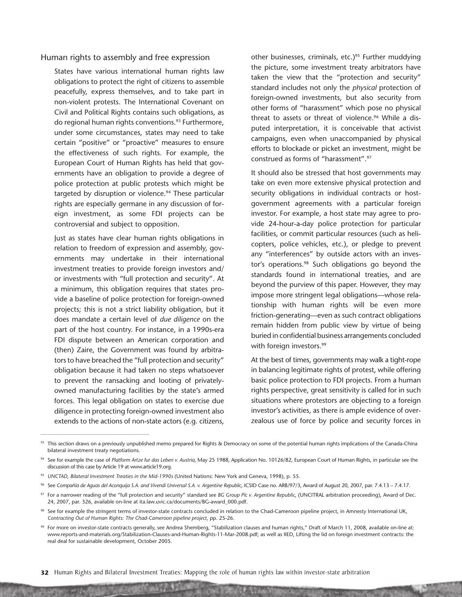#### Human rights to assembly and free expression

States have various international human rights law obligations to protect the right of citizens to assemble peacefully, express themselves, and to take part in non-violent protests. The International Covenant on Civil and Political Rights contains such obligations, as do regional human rights conventions.<sup>93</sup> Furthermore, under some circumstances, states may need to take certain "positive" or "proactive" measures to ensure the effectiveness of such rights. For example, the European Court of Human Rights has held that governments have an obligation to provide a degree of police protection at public protests which might be targeted by disruption or violence.<sup>94</sup> These particular rights are especially germane in any discussion of foreign investment, as some FDI projects can be controversial and subject to opposition.

Just as states have clear human rights obligations in relation to freedom of expression and assembly, governments may undertake in their international investment treaties to provide foreign investors and/ or investments with "full protection and security". At a minimum, this obligation requires that states provide a baseline of police protection for foreign-owned projects; this is not a strict liability obligation, but it does mandate a certain level of *due diligence* on the part of the host country. For instance, in a 1990s-era FDI dispute between an American corporation and (then) Zaire, the Government was found by arbitrators to have breached the "full protection and security" obligation because it had taken no steps whatsoever to prevent the ransacking and looting of privatelyowned manufacturing facilities by the state's armed forces. This legal obligation on states to exercise due diligence in protecting foreign-owned investment also extends to the actions of non-state actors (e.g. citizens,

other businesses, criminals, etc.)<sup>95</sup> Further muddying the picture, some investment treaty arbitrators have taken the view that the "protection and security" standard includes not only the *physical* protection of foreign-owned investments, but also security from other forms of "harassment" which pose no physical threat to assets or threat of violence.<sup>96</sup> While a disputed interpretation, it is conceivable that activist campaigns, even when unaccompanied by physical efforts to blockade or picket an investment, might be construed as forms of "harassment".97

It should also be stressed that host governments may take on even more extensive physical protection and security obligations in individual contracts or hostgovernment agreements with a particular foreign investor. For example, a host state may agree to provide 24-hour-a-day police protection for particular facilities, or commit particular resources (such as helicopters, police vehicles, etc.), or pledge to prevent any "interferences" by outside actors with an investor's operations.98 Such obligations go beyond the standards found in international treaties, and are beyond the purview of this paper. However, they may impose more stringent legal obligations—whose relationship with human rights will be even more friction-generating—even as such contract obligations remain hidden from public view by virtue of being buried in confidential business arrangements concluded with foreign investors.<sup>99</sup>

At the best of times, governments may walk a tight-rope in balancing legitimate rights of protest, while offering basic police protection to FDI projects. From a human rights perspective, great sensitivity is called for in such situations where protestors are objecting to a foreign investor's activities, as there is ample evidence of overzealous use of force by police and security forces in

<sup>93</sup> This section draws on a previously unpublished memo prepared for Rights & Democracy on some of the potential human rights implications of the Canada-China bilateral investment treaty negotiations.

<sup>94</sup> See for example the case of *Platform Artze fur das Leben v. Austria*, May 25 1988, Application No. 10126/82, European Court of Human Rights, in particular see the discussion of this case by Article 19 at www.article19.org.

<sup>95</sup> *UNCTAD*, *Bilateral Investment Treaties in the Mid-1990s* (United Nations: New York and Geneva, 1998), p. 55.

<sup>96</sup> See Compañía de Aguas del Aconquija S.A. and Vivendi Universal S.A. v. Argentine Republic, ICSID Case no. ARB/97/3, Award of August 20, 2007, par. 7.4.13 - 7.4.17.

<sup>97</sup> For a narrower reading of the "full protection and security" standard see *BG Group Plc v. Argentine Republic*, (UNCITRAL arbitration proceeding), Award of Dec. 24, 2007, par. 326, available on-line at ita.law.uvic.ca/documents/BG-award\_000.pdf.

<sup>98</sup> See for example the stringent terms of investor-state contracts concluded in relation to the Chad-Cameroon pipeline project, in Amnesty International UK, *Contracting Out of Human Rights: The Chad-Cameroon pipeline project*, pp. 25-26.

<sup>99</sup> For more on investor-state contracts generally, see Andrea Shemberg, "Stabilization clauses and human rights," Draft of March 11, 2008, available on-line at: www.reports-and-materials.org/Stabilization-Clauses-and-Human-Rights-11-Mar-2008.pdf; as well as IIED, Lifting the lid on foreign investment contracts: the real deal for sustainable development, October 2005.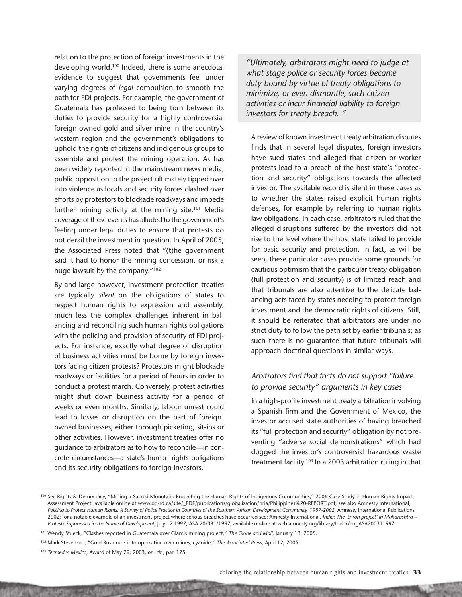relation to the protection of foreign investments in the developing world.100 Indeed, there is some anecdotal evidence to suggest that governments feel under varying degrees of *legal* compulsion to smooth the path for FDI projects. For example, the government of Guatemala has professed to being torn between its duties to provide security for a highly controversial foreign-owned gold and silver mine in the country's western region and the government's obligations to uphold the rights of citizens and indigenous groups to assemble and protest the mining operation. As has been widely reported in the mainstream news media, public opposition to the project ultimately tipped over into violence as locals and security forces clashed over efforts by protestors to blockade roadways and impede further mining activity at the mining site.<sup>101</sup> Media coverage of these events has alluded to the government's feeling under legal duties to ensure that protests do not derail the investment in question. In April of 2005, the Associated Press noted that "(t)he government said it had to honor the mining concession, or risk a huge lawsuit by the company."102

By and large however, investment protection treaties are typically *silent* on the obligations of states to respect human rights to expression and assembly, much less the complex challenges inherent in balancing and reconciling such human rights obligations with the policing and provision of security of FDI projects. For instance, exactly what degree of disruption of business activities must be borne by foreign investors facing citizen protests? Protestors might blockade roadways or facilities for a period of hours in order to conduct a protest march. Conversely, protest activities might shut down business activity for a period of weeks or even months. Similarly, labour unrest could lead to losses or disruption on the part of foreignowned businesses, either through picketing, sit-ins or other activities. However, investment treaties offer no guidance to arbitrators as to how to reconcile—in concrete circumstances—a state's human rights obligations and its security obligations to foreign investors.

*"Ultimately, arbitrators might need to judge at what stage police or security forces became duty-bound by virtue of treaty obligations to minimize, or even dismantle, such citizen activities or incur financial liability to foreign investors for treaty breach. "* 

A review of known investment treaty arbitration disputes finds that in several legal disputes, foreign investors have sued states and alleged that citizen or worker protests lead to a breach of the host state's "protection and security" obligations towards the affected investor. The available record is silent in these cases as to whether the states raised explicit human rights defenses, for example by referring to human rights law obligations. In each case, arbitrators ruled that the alleged disruptions suffered by the investors did not rise to the level where the host state failed to provide for basic security and protection. In fact, as will be seen, these particular cases provide some grounds for cautious optimism that the particular treaty obligation (full protection and security) is of limited reach and that tribunals are also attentive to the delicate balancing acts faced by states needing to protect foreign investment and the democratic rights of citizens. Still, it should be reiterated that arbitrators are under no strict duty to follow the path set by earlier tribunals; as such there is no guarantee that future tribunals will approach doctrinal questions in similar ways.

## *Arbitrators find that facts do not support "failure to provide security" arguments in key cases*

In a high-profile investment treaty arbitration involving a Spanish firm and the Government of Mexico, the investor accused state authorities of having breached its "full protection and security" obligation by not preventing "adverse social demonstrations" which had dogged the investor's controversial hazardous waste treatment facility.103 In a 2003 arbitration ruling in that

<sup>100</sup> See Rights & Democracy, "Mining a Sacred Mountain: Protecting the Human Rights of Indigenous Communities," 2006 Case Study in Human Rights Impact Assessment Project, available online at www.dd-rd.ca/site/\_PDF/publications/globalization/hria/Philippines%20-REPORT.pdf; see also Amnesty International, *Policing to Protect Human Rights: A Survey of Police Practice in Countries of the Southern African Development Community, 1997-2002*, Amnesty International Publications 2002; for a notable example of an investment project where serious breaches have occurred see: Amnesty International, *India: The 'Enron project' in Maharashtra – Protests Suppressed in the Name of Development*, July 17 1997, ASA 20/031/1997, available on-line at web.amnesty.org/library/Index/engASA200311997.

<sup>&</sup>lt;sup>101</sup> Wendy Stueck, "Clashes reported in Guatemala over Glamis mining project," The Globe and Mail, January 13, 2005.

<sup>102</sup> Mark Stevenson, "Gold Rush runs into opposition over mines, cyanide," *The Associated Press*, April 12, 2005.

<sup>103</sup> *Tecmed v. Mexico*, Award of May 29, 2003, *op. cit.*, par. 175.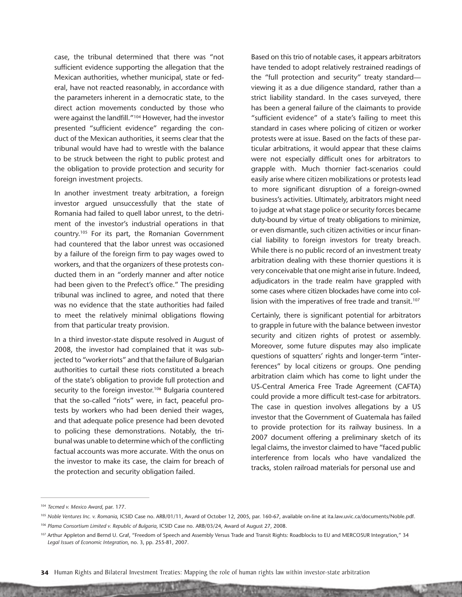case, the tribunal determined that there was "not sufficient evidence supporting the allegation that the Mexican authorities, whether municipal, state or federal, have not reacted reasonably, in accordance with the parameters inherent in a democratic state, to the direct action movements conducted by those who were against the landfill."104 However, had the investor presented "sufficient evidence" regarding the conduct of the Mexican authorities, it seems clear that the tribunal would have had to wrestle with the balance to be struck between the right to public protest and the obligation to provide protection and security for foreign investment projects.

In another investment treaty arbitration, a foreign investor argued unsuccessfully that the state of Romania had failed to quell labor unrest, to the detriment of the investor's industrial operations in that country.105 For its part, the Romanian Government had countered that the labor unrest was occasioned by a failure of the foreign firm to pay wages owed to workers, and that the organizers of these protests conducted them in an "orderly manner and after notice had been given to the Prefect's office." The presiding tribunal was inclined to agree, and noted that there was no evidence that the state authorities had failed to meet the relatively minimal obligations flowing from that particular treaty provision.

In a third investor-state dispute resolved in August of 2008, the investor had complained that it was subjected to "worker riots" and that the failure of Bulgarian authorities to curtail these riots constituted a breach of the state's obligation to provide full protection and security to the foreign investor.<sup>106</sup> Bulgaria countered that the so-called "riots" were, in fact, peaceful protests by workers who had been denied their wages, and that adequate police presence had been devoted to policing these demonstrations. Notably, the tribunal was unable to determine which of the conflicting factual accounts was more accurate. With the onus on the investor to make its case, the claim for breach of the protection and security obligation failed.

Based on this trio of notable cases, it appears arbitrators have tended to adopt relatively restrained readings of the "full protection and security" treaty standard viewing it as a due diligence standard, rather than a strict liability standard. In the cases surveyed, there has been a general failure of the claimants to provide "sufficient evidence" of a state's failing to meet this standard in cases where policing of citizen or worker protests were at issue. Based on the facts of these particular arbitrations, it would appear that these claims were not especially difficult ones for arbitrators to grapple with. Much thornier fact-scenarios could easily arise where citizen mobilizations or protests lead to more significant disruption of a foreign-owned business's activities. Ultimately, arbitrators might need to judge at what stage police or security forces became duty-bound by virtue of treaty obligations to minimize, or even dismantle, such citizen activities or incur financial liability to foreign investors for treaty breach. While there is no public record of an investment treaty arbitration dealing with these thornier questions it is very conceivable that one might arise in future. Indeed, adjudicators in the trade realm have grappled with some cases where citizen blockades have come into collision with the imperatives of free trade and transit.<sup>107</sup>

Certainly, there is significant potential for arbitrators to grapple in future with the balance between investor security and citizen rights of protest or assembly. Moreover, some future disputes may also implicate questions of squatters' rights and longer-term "interferences" by local citizens or groups. One pending arbitration claim which has come to light under the US-Central America Free Trade Agreement (CAFTA) could provide a more difficult test-case for arbitrators. The case in question involves allegations by a US investor that the Government of Guatemala has failed to provide protection for its railway business. In a 2007 document offering a preliminary sketch of its legal claims, the investor claimed to have "faced public interference from locals who have vandalized the tracks, stolen railroad materials for personal use and

<sup>104</sup>*Tecmed v. Mexico Award*, par. 177.

<sup>&</sup>lt;sup>105</sup> Noble Ventures Inc. v. Romania, ICSID Case no. ARB/01/11, Award of October 12, 2005, par. 160-67, available on-line at ita.law.uvic.ca/documents/Noble.pdf.

<sup>106</sup>*Plama Consortium Limited v. Republic of Bulgaria*, ICSID Case no. ARB/03/24, Award of August 27, 2008.

<sup>107</sup> Arthur Appleton and Bernd U. Graf, "Freedom of Speech and Assembly Versus Trade and Transit Rights: Roadblocks to EU and MERCOSUR Integration," 34 *Legal Issues of Economic Integration*, no. 3, pp. 255-81, 2007.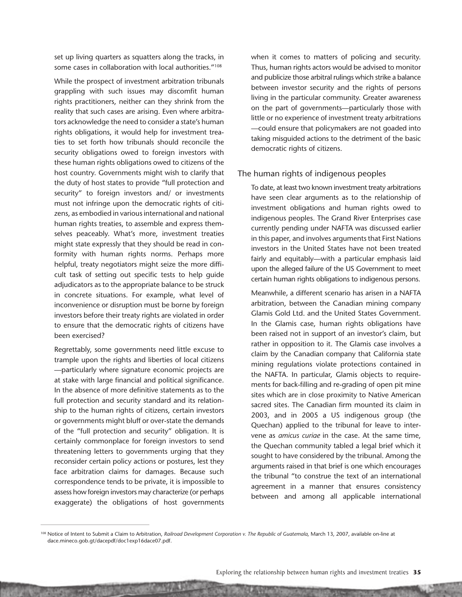set up living quarters as squatters along the tracks, in some cases in collaboration with local authorities."<sup>108</sup>

While the prospect of investment arbitration tribunals grappling with such issues may discomfit human rights practitioners, neither can they shrink from the reality that such cases are arising. Even where arbitrators acknowledge the need to consider a state's human rights obligations, it would help for investment treaties to set forth how tribunals should reconcile the security obligations owed to foreign investors with these human rights obligations owed to citizens of the host country. Governments might wish to clarify that the duty of host states to provide "full protection and security" to foreign investors and/ or investments must not infringe upon the democratic rights of citizens, as embodied in various international and national human rights treaties, to assemble and express themselves peaceably. What's more, investment treaties might state expressly that they should be read in conformity with human rights norms. Perhaps more helpful, treaty negotiators might seize the more difficult task of setting out specific tests to help guide adjudicators as to the appropriate balance to be struck in concrete situations. For example, what level of inconvenience or disruption must be borne by foreign investors before their treaty rights are violated in order to ensure that the democratic rights of citizens have been exercised?

Regrettably, some governments need little excuse to trample upon the rights and liberties of local citizens —particularly where signature economic projects are at stake with large financial and political significance. In the absence of more definitive statements as to the full protection and security standard and its relationship to the human rights of citizens, certain investors or governments might bluff or over-state the demands of the "full protection and security" obligation. It is certainly commonplace for foreign investors to send threatening letters to governments urging that they reconsider certain policy actions or postures, lest they face arbitration claims for damages. Because such correspondence tends to be private, it is impossible to assess how foreign investors may characterize (or perhaps exaggerate) the obligations of host governments

when it comes to matters of policing and security. Thus, human rights actors would be advised to monitor and publicize those arbitral rulings which strike a balance between investor security and the rights of persons living in the particular community. Greater awareness on the part of governments—particularly those with little or no experience of investment treaty arbitrations —could ensure that policymakers are not goaded into taking misguided actions to the detriment of the basic democratic rights of citizens.

#### The human rights of indigenous peoples

To date, at least two known investment treaty arbitrations have seen clear arguments as to the relationship of investment obligations and human rights owed to indigenous peoples. The Grand River Enterprises case currently pending under NAFTA was discussed earlier in this paper, and involves arguments that First Nations investors in the United States have not been treated fairly and equitably—with a particular emphasis laid upon the alleged failure of the US Government to meet certain human rights obligations to indigenous persons.

Meanwhile, a different scenario has arisen in a NAFTA arbitration, between the Canadian mining company Glamis Gold Ltd. and the United States Government. In the Glamis case, human rights obligations have been raised not in support of an investor's claim, but rather in opposition to it. The Glamis case involves a claim by the Canadian company that California state mining regulations violate protections contained in the NAFTA. In particular, Glamis objects to requirements for back-filling and re-grading of open pit mine sites which are in close proximity to Native American sacred sites. The Canadian firm mounted its claim in 2003, and in 2005 a US indigenous group (the Quechan) applied to the tribunal for leave to intervene as *amicus curiae* in the case. At the same time, the Quechan community tabled a legal brief which it sought to have considered by the tribunal. Among the arguments raised in that brief is one which encourages the tribunal "to construe the text of an international agreement in a manner that ensures consistency between and among all applicable international

<sup>&</sup>lt;sup>108</sup> Notice of Intent to Submit a Claim to Arbitration, Railroad Development Corporation v. The Republic of Guatemala, March 13, 2007, available on-line at dace.mineco.gob.gt/dacepdf/doc1exp16dace07.pdf.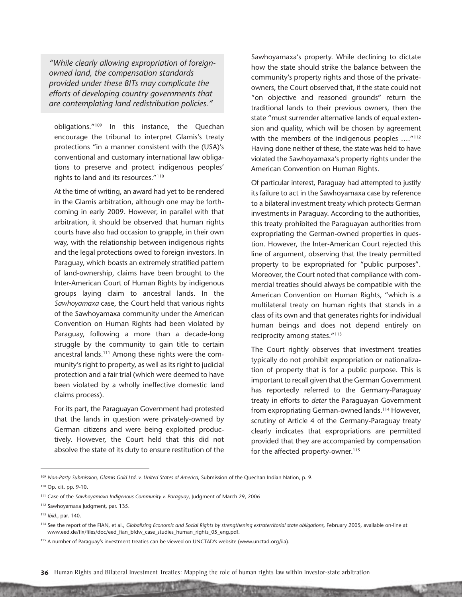*"While clearly allowing expropriation of foreignowned land, the compensation standards provided under these BITs may complicate the efforts of developing country governments that are contemplating land redistribution policies."* 

obligations."109 In this instance, the Quechan encourage the tribunal to interpret Glamis's treaty protections "in a manner consistent with the (USA)'s conventional and customary international law obligations to preserve and protect indigenous peoples' rights to land and its resources."110

At the time of writing, an award had yet to be rendered in the Glamis arbitration, although one may be forthcoming in early 2009. However, in parallel with that arbitration, it should be observed that human rights courts have also had occasion to grapple, in their own way, with the relationship between indigenous rights and the legal protections owed to foreign investors. In Paraguay, which boasts an extremely stratified pattern of land-ownership, claims have been brought to the Inter-American Court of Human Rights by indigenous groups laying claim to ancestral lands. In the *Sawhoyamaxa* case, the Court held that various rights of the Sawhoyamaxa community under the American Convention on Human Rights had been violated by Paraguay, following a more than a decade-long struggle by the community to gain title to certain ancestral lands.111 Among these rights were the community's right to property, as well as its right to judicial protection and a fair trial (which were deemed to have been violated by a wholly ineffective domestic land claims process).

For its part, the Paraguayan Government had protested that the lands in question were privately-owned by German citizens and were being exploited productively. However, the Court held that this did not absolve the state of its duty to ensure restitution of the

Sawhoyamaxa's property. While declining to dictate how the state should strike the balance between the community's property rights and those of the privateowners, the Court observed that, if the state could not "on objective and reasoned grounds" return the traditional lands to their previous owners, then the state "must surrender alternative lands of equal extension and quality, which will be chosen by agreement with the members of the indigenous peoples ...."<sup>112</sup> Having done neither of these, the state was held to have violated the Sawhoyamaxa's property rights under the American Convention on Human Rights.

Of particular interest, Paraguay had attempted to justify its failure to act in the Sawhoyamaxa case by reference to a bilateral investment treaty which protects German investments in Paraguay. According to the authorities, this treaty prohibited the Paraguayan authorities from expropriating the German-owned properties in question. However, the Inter-American Court rejected this line of argument, observing that the treaty permitted property to be expropriated for "public purposes". Moreover, the Court noted that compliance with commercial treaties should always be compatible with the American Convention on Human Rights, "which is a multilateral treaty on human rights that stands in a class of its own and that generates rights for individual human beings and does not depend entirely on reciprocity among states."113

The Court rightly observes that investment treaties typically do not prohibit expropriation or nationalization of property that is for a public purpose. This is important to recall given that the German Government has reportedly referred to the Germany-Paraguay treaty in efforts to *deter* the Paraguayan Government from expropriating German-owned lands.<sup>114</sup> However, scrutiny of Article 4 of the Germany-Paraguay treaty clearly indicates that expropriations are permitted provided that they are accompanied by compensation for the affected property-owner.<sup>115</sup>

<sup>109</sup>*Non-Party Submission, Glamis Gold Ltd. v. United States of America*, Submission of the Quechan Indian Nation, p. 9.

<sup>110</sup> Op. cit. pp. 9-10.

<sup>111</sup> Case of the *Sawhoyamaxa Indigenous Community v. Paraguay*, Judgment of March 29, 2006

<sup>112</sup> Sawhoyamaxa Judgment, par. 135.

<sup>113</sup> *Ibid*., par. 140.

<sup>&</sup>lt;sup>114</sup> See the report of the FIAN, et al., *Globalizing Economic and Social Rights by strengthening extraterritorial state obligations, February 2005, available on-line at* www.eed.de/fix/files/doc/eed\_fian\_bfdw\_case\_studies\_human\_rights\_05\_eng.pdf.

<sup>115</sup> A number of Paraguay's investment treaties can be viewed on UNCTAD's website (www.unctad.org/iia).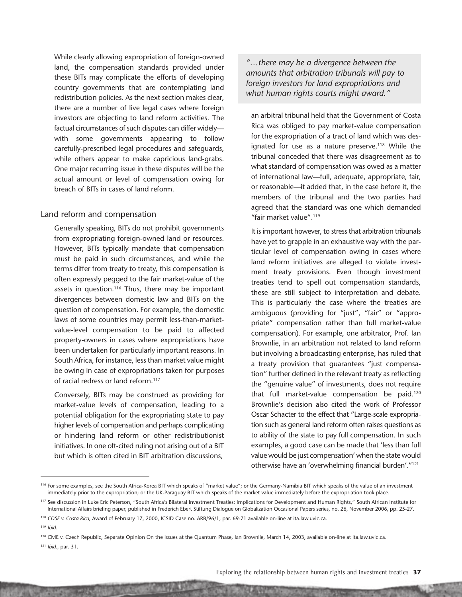While clearly allowing expropriation of foreign-owned land, the compensation standards provided under these BITs may complicate the efforts of developing country governments that are contemplating land redistribution policies. As the next section makes clear, there are a number of live legal cases where foreign investors are objecting to land reform activities. The factual circumstances of such disputes can differ widely with some governments appearing to follow carefully-prescribed legal procedures and safeguards, while others appear to make capricious land-grabs. One major recurring issue in these disputes will be the actual amount or level of compensation owing for breach of BITs in cases of land reform.

#### Land reform and compensation

Generally speaking, BITs do not prohibit governments from expropriating foreign-owned land or resources. However, BITs typically mandate that compensation must be paid in such circumstances, and while the terms differ from treaty to treaty, this compensation is often expressly pegged to the fair market-value of the assets in question.<sup>116</sup> Thus, there may be important divergences between domestic law and BITs on the question of compensation. For example, the domestic laws of some countries may permit less-than-marketvalue-level compensation to be paid to affected property-owners in cases where expropriations have been undertaken for particularly important reasons. In South Africa, for instance, less than market value might be owing in case of expropriations taken for purposes of racial redress or land reform.<sup>117</sup>

Conversely, BITs may be construed as providing for market-value levels of compensation, leading to a potential obligation for the expropriating state to pay higher levels of compensation and perhaps complicating or hindering land reform or other redistributionist initiatives. In one oft-cited ruling not arising out of a BIT but which is often cited in BIT arbitration discussions,

*"…there may be a divergence between the amounts that arbitration tribunals will pay to foreign investors for land expropriations and what human rights courts might award."* 

an arbitral tribunal held that the Government of Costa Rica was obliged to pay market-value compensation for the expropriation of a tract of land which was designated for use as a nature preserve.<sup>118</sup> While the tribunal conceded that there was disagreement as to what standard of compensation was owed as a matter of international law—full, adequate, appropriate, fair, or reasonable—it added that, in the case before it, the members of the tribunal and the two parties had agreed that the standard was one which demanded "fair market value".119

It is important however, to stress that arbitration tribunals have yet to grapple in an exhaustive way with the particular level of compensation owing in cases where land reform initiatives are alleged to violate investment treaty provisions. Even though investment treaties tend to spell out compensation standards, these are still subject to interpretation and debate. This is particularly the case where the treaties are ambiguous (providing for "just", "fair" or "appropriate" compensation rather than full market-value compensation). For example, one arbitrator, Prof. Ian Brownlie, in an arbitration not related to land reform but involving a broadcasting enterprise, has ruled that a treaty provision that guarantees "just compensation" further defined in the relevant treaty as reflecting the "genuine value" of investments, does not require that full market-value compensation be paid.120 Brownlie's decision also cited the work of Professor Oscar Schacter to the effect that "Large-scale expropriation such as general land reform often raises questions as to ability of the state to pay full compensation. In such examples, a good case can be made that 'less than full value would be just compensation' when the state would otherwise have an 'overwhelming financial burden'."121

<sup>116</sup> For some examples, see the South Africa-Korea BIT which speaks of "market value"; or the Germany-Namibia BIT which speaks of the value of an investment immediately prior to the expropriation; or the UK-Paraguay BIT which speaks of the market value immediately before the expropriation took place.

<sup>117</sup> See discussion in Luke Eric Peterson, "South Africa's Bilateral Investment Treaties: Implications for Development and Human Rights," South African Institute for International Affairs briefing paper, published in Frederich Ebert Stiftung Dialogue on Globalization Occasional Papers series, no. 26, November 2006, pp. 25-27.

<sup>118</sup>*CDSE v. Costa Rica*, Award of February 17, 2000, ICSID Case no. ARB/96/1, par. 69-71 available on-line at ita.law.uvic.ca.

<sup>119</sup> *Ibid*.

<sup>&</sup>lt;sup>120</sup> CME v. Czech Republic, Separate Opinion On the Issues at the Quantum Phase, Ian Brownlie, March 14, 2003, available on-line at ita.law.uvic.ca.

<sup>121</sup> *Ibid*., par. 31.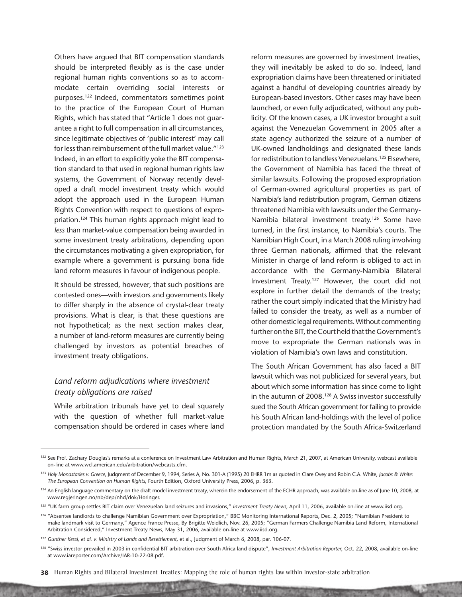Others have argued that BIT compensation standards should be interpreted flexibly as is the case under regional human rights conventions so as to accommodate certain overriding social interests or purposes.122 Indeed, commentators sometimes point to the practice of the European Court of Human Rights, which has stated that "Article 1 does not guarantee a right to full compensation in all circumstances, since legitimate objectives of 'public interest' may call for less than reimbursement of the full market value."<sup>123</sup> Indeed, in an effort to explicitly yoke the BIT compensation standard to that used in regional human rights law systems, the Government of Norway recently developed a draft model investment treaty which would adopt the approach used in the European Human Rights Convention with respect to questions of expropriation.124 This human rights approach might lead to *less* than market-value compensation being awarded in some investment treaty arbitrations, depending upon the circumstances motivating a given expropriation, for example where a government is pursuing bona fide land reform measures in favour of indigenous people.

It should be stressed, however, that such positions are contested ones—with investors and governments likely to differ sharply in the absence of crystal-clear treaty provisions. What is clear, is that these questions are not hypothetical; as the next section makes clear, a number of land-reform measures are currently being challenged by investors as potential breaches of investment treaty obligations.

## *Land reform adjudications where investment treaty obligations are raised*

While arbitration tribunals have yet to deal squarely with the question of whether full market-value compensation should be ordered in cases where land reform measures are governed by investment treaties, they will inevitably be asked to do so. Indeed, land expropriation claims have been threatened or initiated against a handful of developing countries already by European-based investors. Other cases may have been launched, or even fully adjudicated, without any publicity. Of the known cases, a UK investor brought a suit against the Venezuelan Government in 2005 after a state agency authorized the seizure of a number of UK-owned landholdings and designated these lands for redistribution to landless Venezuelans.<sup>125</sup> Elsewhere, the Government of Namibia has faced the threat of similar lawsuits. Following the proposed expropriation of German-owned agricultural properties as part of Namibia's land redistribution program, German citizens threatened Namibia with lawsuits under the Germany-Namibia bilateral investment treaty.<sup>126</sup> Some have turned, in the first instance, to Namibia's courts. The Namibian High Court, in a March 2008 ruling involving three German nationals, affirmed that the relevant Minister in charge of land reform is obliged to act in accordance with the Germany-Namibia Bilateral Investment Treaty.127 However, the court did not explore in further detail the demands of the treaty; rather the court simply indicated that the Ministry had failed to consider the treaty, as well as a number of other domestic legal requirements. Without commenting further on the BIT, the Court held that the Government's move to expropriate the German nationals was in violation of Namibia's own laws and constitution.

The South African Government has also faced a BIT lawsuit which was not publicized for several years, but about which some information has since come to light in the autumn of 2008.<sup>128</sup> A Swiss investor successfully sued the South African government for failing to provide his South African land-holdings with the level of police protection mandated by the South Africa-Switzerland

**38** Human Rights and Bilateral Investment Treaties: Mapping the role of human rights law within investor-state arbitration

<sup>&</sup>lt;sup>122</sup> See Prof. Zachary Douglas's remarks at a conference on Investment Law Arbitration and Human Rights, March 21, 2007, at American University, webcast available on-line at www.wcl.american.edu/arbitration/webcasts.cfm.

<sup>123</sup> *Holy Monastaries v. Greece*, Judgment of December 9, 1994, Series A, No. 301-A (1995) 20 EHRR 1m as quoted in Clare Ovey and Robin C.A. White, *Jacobs & White: The European Convention on Human Rights*, Fourth Edition, Oxford University Press, 2006, p. 363.

<sup>&</sup>lt;sup>124</sup> An English language commentary on the draft model investment treaty, wherein the endorsement of the ECHR approach, was available on-line as of June 10, 2008, at www.regjeringen.no/nb/dep/nhd/dok/Horinger.

<sup>&</sup>lt;sup>125</sup> "UK farm group settles BIT claim over Venezuelan land seizures and invasions," Investment Treaty News, April 11, 2006, available on-line at www.iisd.org.

<sup>126 &</sup>quot;Absentee landlords to challenge Namibian Government over Expropriation," BBC Monitoring International Reports, Dec. 2, 2005; "Namibian President to make landmark visit to Germany," Agence France Presse, By Brigitte Weidlich, Nov. 26, 2005; "German Farmers Challenge Namibia Land Reform, International Arbitration Considered," Investment Treaty News, May 31, 2006, available on-line at www.iisd.org.

<sup>&</sup>lt;sup>127</sup> Gunther Kessl, et al. v. Ministry of Lands and Resettlement, et al., Judgment of March 6, 2008, par. 106-07.

<sup>&</sup>lt;sup>128</sup> "Swiss investor prevailed in 2003 in confidential BIT arbitration over South Africa land dispute", *Investment Arbitration Reporter*, Oct. 22, 2008, available on-line at www.iareporter.com/Archive/IAR-10-22-08.pdf.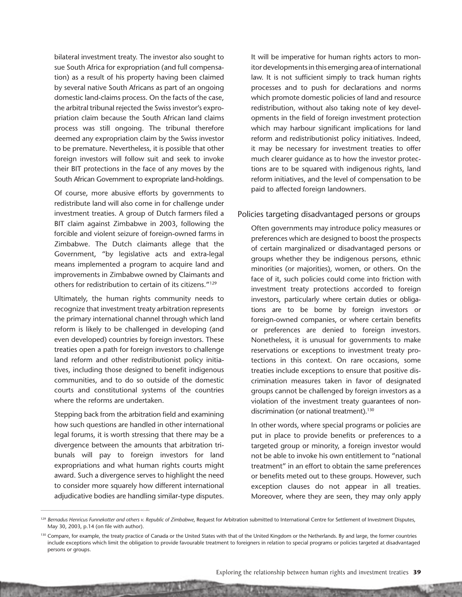bilateral investment treaty. The investor also sought to sue South Africa for expropriation (and full compensation) as a result of his property having been claimed by several native South Africans as part of an ongoing domestic land-claims process. On the facts of the case, the arbitral tribunal rejected the Swiss investor's expropriation claim because the South African land claims process was still ongoing. The tribunal therefore deemed any expropriation claim by the Swiss investor to be premature. Nevertheless, it is possible that other foreign investors will follow suit and seek to invoke their BIT protections in the face of any moves by the South African Government to expropriate land-holdings.

Of course, more abusive efforts by governments to redistribute land will also come in for challenge under investment treaties. A group of Dutch farmers filed a BIT claim against Zimbabwe in 2003, following the forcible and violent seizure of foreign-owned farms in Zimbabwe. The Dutch claimants allege that the Government, "by legislative acts and extra-legal means implemented a program to acquire land and improvements in Zimbabwe owned by Claimants and others for redistribution to certain of its citizens."129

Ultimately, the human rights community needs to recognize that investment treaty arbitration represents the primary international channel through which land reform is likely to be challenged in developing (and even developed) countries by foreign investors. These treaties open a path for foreign investors to challenge land reform and other redistributionist policy initiatives, including those designed to benefit indigenous communities, and to do so outside of the domestic courts and constitutional systems of the countries where the reforms are undertaken.

Stepping back from the arbitration field and examining how such questions are handled in other international legal forums, it is worth stressing that there may be a divergence between the amounts that arbitration tribunals will pay to foreign investors for land expropriations and what human rights courts might award. Such a divergence serves to highlight the need to consider more squarely how different international adjudicative bodies are handling similar-type disputes.

It will be imperative for human rights actors to monitor developments in this emerging area of international law. It is not sufficient simply to track human rights processes and to push for declarations and norms which promote domestic policies of land and resource redistribution, without also taking note of key developments in the field of foreign investment protection which may harbour significant implications for land reform and redistributionist policy initiatives. Indeed, it may be necessary for investment treaties to offer much clearer guidance as to how the investor protections are to be squared with indigenous rights, land reform initiatives, and the level of compensation to be paid to affected foreign landowners.

#### Policies targeting disadvantaged persons or groups

Often governments may introduce policy measures or preferences which are designed to boost the prospects of certain marginalized or disadvantaged persons or groups whether they be indigenous persons, ethnic minorities (or majorities), women, or others. On the face of it, such policies could come into friction with investment treaty protections accorded to foreign investors, particularly where certain duties or obligations are to be borne by foreign investors or foreign-owned companies, or where certain benefits or preferences are denied to foreign investors. Nonetheless, it is unusual for governments to make reservations or exceptions to investment treaty protections in this context. On rare occasions, some treaties include exceptions to ensure that positive discrimination measures taken in favor of designated groups cannot be challenged by foreign investors as a violation of the investment treaty guarantees of nondiscrimination (or national treatment).<sup>130</sup>

In other words, where special programs or policies are put in place to provide benefits or preferences to a targeted group or minority, a foreign investor would not be able to invoke his own entitlement to "national treatment" in an effort to obtain the same preferences or benefits meted out to these groups. However, such exception clauses do not appear in all treaties. Moreover, where they are seen, they may only apply

<sup>&</sup>lt;sup>129</sup> Bernadus Henricus Funnekotter and others v. Republic of Zimbabwe, Request for Arbitration submitted to International Centre for Settlement of Investment Disputes, May 30, 2003, p.14 (on file with author).

<sup>&</sup>lt;sup>130</sup> Compare, for example, the treaty practice of Canada or the United States with that of the United Kingdom or the Netherlands. By and large, the former countries include exceptions which limit the obligation to provide favourable treatment to foreigners in relation to special programs or policies targeted at disadvantaged persons or groups.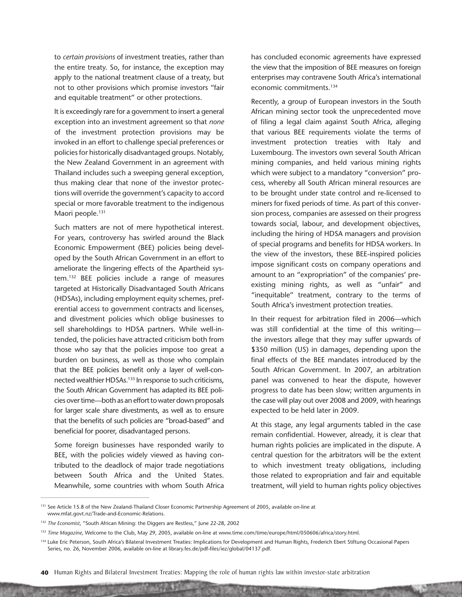to *certain provisions* of investment treaties, rather than the entire treaty. So, for instance, the exception may apply to the national treatment clause of a treaty, but not to other provisions which promise investors "fair and equitable treatment" or other protections.

It is exceedingly rare for a government to insert a general exception into an investment agreement so that *none* of the investment protection provisions may be invoked in an effort to challenge special preferences or policies for historically disadvantaged groups. Notably, the New Zealand Government in an agreement with Thailand includes such a sweeping general exception, thus making clear that none of the investor protections will override the government's capacity to accord special or more favorable treatment to the indigenous Maori people.<sup>131</sup>

Such matters are not of mere hypothetical interest. For years, controversy has swirled around the Black Economic Empowerment (BEE) policies being developed by the South African Government in an effort to ameliorate the lingering effects of the Apartheid system.132 BEE policies include a range of measures targeted at Historically Disadvantaged South Africans (HDSAs), including employment equity schemes, preferential access to government contracts and licenses, and divestment policies which oblige businesses to sell shareholdings to HDSA partners. While well-intended, the policies have attracted criticism both from those who say that the policies impose too great a burden on business, as well as those who complain that the BEE policies benefit only a layer of well-connected wealthier HDSAs.<sup>133</sup> In response to such criticisms, the South African Government has adapted its BEE policies over time—both as an effort to water down proposals for larger scale share divestments, as well as to ensure that the benefits of such policies are "broad-based" and beneficial for poorer, disadvantaged persons.

Some foreign businesses have responded warily to BEE, with the policies widely viewed as having contributed to the deadlock of major trade negotiations between South Africa and the United States. Meanwhile, some countries with whom South Africa has concluded economic agreements have expressed the view that the imposition of BEE measures on foreign enterprises may contravene South Africa's international economic commitments.134

Recently, a group of European investors in the South African mining sector took the unprecedented move of filing a legal claim against South Africa, alleging that various BEE requirements violate the terms of investment protection treaties with Italy and Luxembourg. The investors own several South African mining companies, and held various mining rights which were subject to a mandatory "conversion" process, whereby all South African mineral resources are to be brought under state control and re-licensed to miners for fixed periods of time. As part of this conversion process, companies are assessed on their progress towards social, labour, and development objectives, including the hiring of HDSA managers and provision of special programs and benefits for HDSA workers. In the view of the investors, these BEE-inspired policies impose significant costs on company operations and amount to an "expropriation" of the companies' preexisting mining rights, as well as "unfair" and "inequitable" treatment, contrary to the terms of South Africa's investment protection treaties.

In their request for arbitration filed in 2006—which was still confidential at the time of this writing the investors allege that they may suffer upwards of \$350 million (US) in damages, depending upon the final effects of the BEE mandates introduced by the South African Government. In 2007, an arbitration panel was convened to hear the dispute, however progress to date has been slow; written arguments in the case will play out over 2008 and 2009, with hearings expected to be held later in 2009.

At this stage, any legal arguments tabled in the case remain confidential. However, already, it is clear that human rights policies are implicated in the dispute. A central question for the arbitrators will be the extent to which investment treaty obligations, including those related to expropriation and fair and equitable treatment, will yield to human rights policy objectives

<sup>&</sup>lt;sup>131</sup> See Article 15.8 of the New Zealand-Thailand Closer Economic Partnership Agreement of 2005, available on-line at www.mfat.govt.nz/Trade-and-Economic-Relations.

<sup>132</sup>*The Economist*, "South African Mining: the Diggers are Restless," June 22-28, 2002

<sup>133</sup>*Time Magazine*, Welcome to the Club, May 29, 2005, available on-line at www.time.com/time/europe/html/050606/africa/story.html.

<sup>&</sup>lt;sup>134</sup> Luke Eric Peterson, South Africa's Bilateral Investment Treaties: Implications for Development and Human Rights, Frederich Ebert Stiftung Occasional Papers Series, no. 26, November 2006, available on-line at library.fes.de/pdf-files/iez/global/04137.pdf.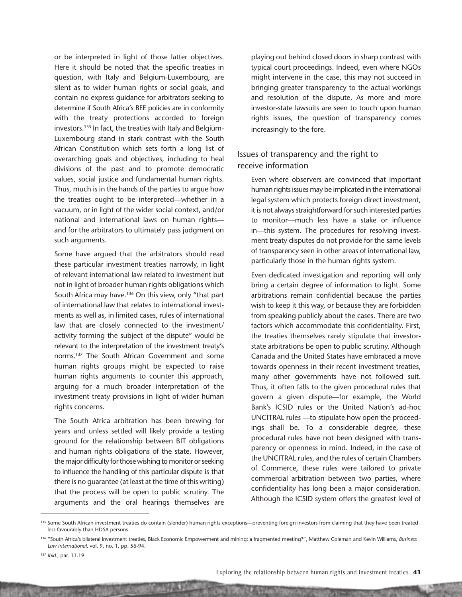or be interpreted in light of those latter objectives. Here it should be noted that the specific treaties in question, with Italy and Belgium-Luxembourg, are silent as to wider human rights or social goals, and contain no express guidance for arbitrators seeking to determine if South Africa's BEE policies are in conformity with the treaty protections accorded to foreign investors.135 In fact, the treaties with Italy and Belgium-Luxembourg stand in stark contrast with the South African Constitution which sets forth a long list of overarching goals and objectives, including to heal divisions of the past and to promote democratic values, social justice and fundamental human rights. Thus, much is in the hands of the parties to argue how the treaties ought to be interpreted—whether in a vacuum, or in light of the wider social context, and/or national and international laws on human rights and for the arbitrators to ultimately pass judgment on such arguments.

Some have argued that the arbitrators should read these particular investment treaties narrowly, in light of relevant international law related to investment but not in light of broader human rights obligations which South Africa may have.136 On this view, only "that part of international law that relates to international investments as well as, in limited cases, rules of international law that are closely connected to the investment/ activity forming the subject of the dispute" would be relevant to the interpretation of the investment treaty's norms.137 The South African Government and some human rights groups might be expected to raise human rights arguments to counter this approach, arguing for a much broader interpretation of the investment treaty provisions in light of wider human rights concerns.

The South Africa arbitration has been brewing for years and unless settled will likely provide a testing ground for the relationship between BIT obligations and human rights obligations of the state. However, the major difficulty for those wishing to monitor or seeking to influence the handling of this particular dispute is that there is no guarantee (at least at the time of this writing) that the process will be open to public scrutiny. The arguments and the oral hearings themselves are

playing out behind closed doors in sharp contrast with typical court proceedings. Indeed, even where NGOs might intervene in the case, this may not succeed in bringing greater transparency to the actual workings and resolution of the dispute. As more and more investor-state lawsuits are seen to touch upon human rights issues, the question of transparency comes increasingly to the fore.

## Issues of transparency and the right to receive information

Even where observers are convinced that important human rights issues may be implicated in the international legal system which protects foreign direct investment, it is not always straightforward for such interested parties to monitor—much less have a stake or influence in—this system. The procedures for resolving investment treaty disputes do not provide for the same levels of transparency seen in other areas of international law, particularly those in the human rights system.

Even dedicated investigation and reporting will only bring a certain degree of information to light. Some arbitrations remain confidential because the parties wish to keep it this way, or because they are forbidden from speaking publicly about the cases. There are two factors which accommodate this confidentiality. First, the treaties themselves rarely stipulate that investorstate arbitrations be open to public scrutiny. Although Canada and the United States have embraced a move towards openness in their recent investment treaties, many other governments have not followed suit. Thus, it often falls to the given procedural rules that govern a given dispute—for example, the World Bank's ICSID rules or the United Nation's ad-hoc UNCITRAL rules —to stipulate how open the proceedings shall be. To a considerable degree, these procedural rules have not been designed with transparency or openness in mind. Indeed, in the case of the UNCITRAL rules, and the rules of certain Chambers of Commerce, these rules were tailored to private commercial arbitration between two parties, where confidentiality has long been a major consideration. Although the ICSID system offers the greatest level of

<sup>135</sup> Some South African investment treaties do contain (slender) human rights exceptions—preventing foreign investors from claiming that they have been treated less favourably than HDSA persons.

<sup>136 &</sup>quot;South Africa's bilateral investment treaties, Black Economic Empowerment and mining: a fragmented meeting?", Matthew Coleman and Kevin Williams, *Business Law International*, vol. 9, no. 1, pp. 56-94.

<sup>137</sup> *Ibid*., par. 11.19.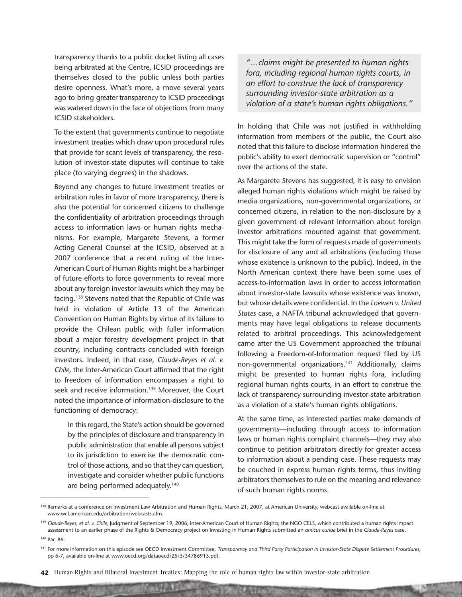transparency thanks to a public docket listing all cases being arbitrated at the Centre, ICSID proceedings are themselves closed to the public unless both parties desire openness. What's more, a move several years ago to bring greater transparency to ICSID proceedings was watered down in the face of objections from many ICSID stakeholders.

To the extent that governments continue to negotiate investment treaties which draw upon procedural rules that provide for scant levels of transparency, the resolution of investor-state disputes will continue to take place (to varying degrees) in the shadows.

Beyond any changes to future investment treaties or arbitration rules in favor of more transparency, there is also the potential for concerned citizens to challenge the confidentiality of arbitration proceedings through access to information laws or human rights mechanisms. For example, Margarete Stevens, a former Acting General Counsel at the ICSID, observed at a 2007 conference that a recent ruling of the Inter-American Court of Human Rights might be a harbinger of future efforts to force governments to reveal more about any foreign investor lawsuits which they may be facing.138 Stevens noted that the Republic of Chile was held in violation of Article 13 of the American Convention on Human Rights by virtue of its failure to provide the Chilean public with fuller information about a major forestry development project in that country, including contracts concluded with foreign investors. Indeed, in that case, *Claude-Reyes et al. v. Chile*, the Inter-American Court affirmed that the right to freedom of information encompasses a right to seek and receive information.<sup>139</sup> Moreover, the Court noted the importance of information-disclosure to the functioning of democracy:

In this regard, the State's action should be governed by the principles of disclosure and transparency in public administration that enable all persons subject to its jurisdiction to exercise the democratic control of those actions, and so that they can question, investigate and consider whether public functions are being performed adequately.<sup>140</sup>

*"…claims might be presented to human rights fora, including regional human rights courts, in an effort to construe the lack of transparency surrounding investor-state arbitration as a violation of a state's human rights obligations."* 

In holding that Chile was not justified in withholding information from members of the public, the Court also noted that this failure to disclose information hindered the public's ability to exert democratic supervision or "control" over the actions of the state.

As Margarete Stevens has suggested, it is easy to envision alleged human rights violations which might be raised by media organizations, non-governmental organizations, or concerned citizens, in relation to the non-disclosure by a given government of relevant information about foreign investor arbitrations mounted against that government. This might take the form of requests made of governments for disclosure of any and all arbitrations (including those whose existence is unknown to the public). Indeed, in the North American context there have been some uses of access-to-information laws in order to access information about investor-state lawsuits whose existence was known, but whose details were confidential. In the *Loewen v. United States* case, a NAFTA tribunal acknowledged that governments may have legal obligations to release documents related to arbitral proceedings. This acknowledgement came after the US Government approached the tribunal following a Freedom-of-Information request filed by US non-governmental organizations.141 Additionally, claims might be presented to human rights fora, including regional human rights courts, in an effort to construe the lack of transparency surrounding investor-state arbitration as a violation of a state's human rights obligations.

At the same time, as interested parties make demands of governments—including through access to information laws or human rights complaint channels—they may also continue to petition arbitrators directly for greater access to information about a pending case. These requests may be couched in express human rights terms, thus inviting arbitrators themselves to rule on the meaning and relevance of such human rights norms.

140 Par. 86.

<sup>&</sup>lt;sup>138</sup> Remarks at a conference on Investment Law Arbitration and Human Rights, March 21, 2007, at American University, webcast available on-line at www.wcl.american.edu/arbitration/webcasts.cfm.

<sup>&</sup>lt;sup>139</sup> Claude-Reyes, et al. v. Chile, Judgment of September 19, 2006, Inter-American Court of Human Rights; the NGO CELS, which contributed a human rights impact assessment to an earlier phase of the Rights & Democracy project on Investing in Human Rights submitted an *amicus curiae* brief in the *Claude-Reyes* case.

<sup>141</sup> For more information on this episode see OECD Investment Committee, *Transparency and Third Party Participation in Investor-State Dispute Settlement Procedures*, pp 6-7, available on-line at www.oecd.org/dataoecd/25/3/34786913.pdf.

**<sup>42</sup>** Human Rights and Bilateral Investment Treaties: Mapping the role of human rights law within investor-state arbitration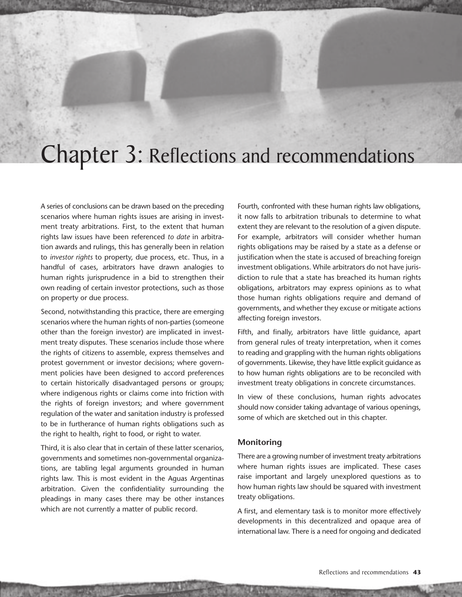## Chapter 3: Reflections and recommendations

A series of conclusions can be drawn based on the preceding scenarios where human rights issues are arising in investment treaty arbitrations. First, to the extent that human rights law issues have been referenced *to date* in arbitration awards and rulings, this has generally been in relation to *investor rights* to property, due process, etc. Thus, in a handful of cases, arbitrators have drawn analogies to human rights jurisprudence in a bid to strengthen their own reading of certain investor protections, such as those on property or due process.

Second, notwithstanding this practice, there are emerging scenarios where the human rights of non-parties (someone other than the foreign investor) are implicated in investment treaty disputes. These scenarios include those where the rights of citizens to assemble, express themselves and protest government or investor decisions; where government policies have been designed to accord preferences to certain historically disadvantaged persons or groups; where indigenous rights or claims come into friction with the rights of foreign investors; and where government regulation of the water and sanitation industry is professed to be in furtherance of human rights obligations such as the right to health, right to food, or right to water.

Third, it is also clear that in certain of these latter scenarios, governments and sometimes non-governmental organizations, are tabling legal arguments grounded in human rights law. This is most evident in the Aguas Argentinas arbitration. Given the confidentiality surrounding the pleadings in many cases there may be other instances which are not currently a matter of public record.

Fourth, confronted with these human rights law obligations, it now falls to arbitration tribunals to determine to what extent they are relevant to the resolution of a given dispute. For example, arbitrators will consider whether human rights obligations may be raised by a state as a defense or justification when the state is accused of breaching foreign investment obligations. While arbitrators do not have jurisdiction to rule that a state has breached its human rights obligations, arbitrators may express opinions as to what those human rights obligations require and demand of governments, and whether they excuse or mitigate actions affecting foreign investors.

Fifth, and finally, arbitrators have little guidance, apart from general rules of treaty interpretation, when it comes to reading and grappling with the human rights obligations of governments. Likewise, they have little explicit guidance as to how human rights obligations are to be reconciled with investment treaty obligations in concrete circumstances.

In view of these conclusions, human rights advocates should now consider taking advantage of various openings, some of which are sketched out in this chapter.

#### **Monitoring**

There are a growing number of investment treaty arbitrations where human rights issues are implicated. These cases raise important and largely unexplored questions as to how human rights law should be squared with investment treaty obligations.

A first, and elementary task is to monitor more effectively developments in this decentralized and opaque area of international law. There is a need for ongoing and dedicated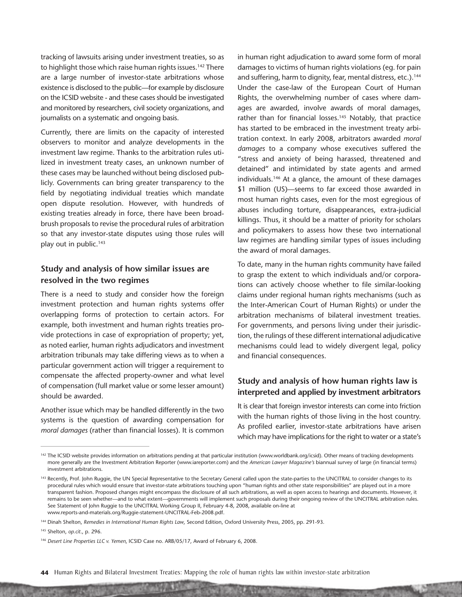tracking of lawsuits arising under investment treaties, so as to highlight those which raise human rights issues.<sup>142</sup> There are a large number of investor-state arbitrations whose existence is disclosed to the public—for example by disclosure on the ICSID website - and these cases should be investigated and monitored by researchers, civil society organizations, and journalists on a systematic and ongoing basis.

Currently, there are limits on the capacity of interested observers to monitor and analyze developments in the investment law regime. Thanks to the arbitration rules utilized in investment treaty cases, an unknown number of these cases may be launched without being disclosed publicly. Governments can bring greater transparency to the field by negotiating individual treaties which mandate open dispute resolution. However, with hundreds of existing treaties already in force, there have been broadbrush proposals to revise the procedural rules of arbitration so that any investor-state disputes using those rules will play out in public.<sup>143</sup>

## **Study and analysis of how similar issues are resolved in the two regimes**

There is a need to study and consider how the foreign investment protection and human rights systems offer overlapping forms of protection to certain actors. For example, both investment and human rights treaties provide protections in case of expropriation of property; yet, as noted earlier, human rights adjudicators and investment arbitration tribunals may take differing views as to when a particular government action will trigger a requirement to compensate the affected property-owner and what level of compensation (full market value or some lesser amount) should be awarded.

Another issue which may be handled differently in the two systems is the question of awarding compensation for *moral damages* (rather than financial losses). It is common

in human right adjudication to award some form of moral damages to victims of human rights violations (eg. for pain and suffering, harm to dignity, fear, mental distress, etc.).<sup>144</sup> Under the case-law of the European Court of Human Rights, the overwhelming number of cases where damages are awarded, involve awards of moral damages, rather than for financial losses.<sup>145</sup> Notably, that practice has started to be embraced in the investment treaty arbitration context. In early 2008, arbitrators awarded *moral damages* to a company whose executives suffered the "stress and anxiety of being harassed, threatened and detained" and intimidated by state agents and armed individuals.146 At a glance, the amount of these damages \$1 million (US)—seems to far exceed those awarded in most human rights cases, even for the most egregious of abuses including torture, disappearances, extra-judicial killings. Thus, it should be a matter of priority for scholars and policymakers to assess how these two international law regimes are handling similar types of issues including the award of moral damages.

To date, many in the human rights community have failed to grasp the extent to which individuals and/or corporations can actively choose whether to file similar-looking claims under regional human rights mechanisms (such as the Inter-American Court of Human Rights) or under the arbitration mechanisms of bilateral investment treaties. For governments, and persons living under their jurisdiction, the rulings of these different international adjudicative mechanisms could lead to widely divergent legal, policy and financial consequences.

## **Study and analysis of how human rights law is interpreted and applied by investment arbitrators**

It is clear that foreign investor interests can come into friction with the human rights of those living in the host country. As profiled earlier, investor-state arbitrations have arisen which may have implications for the right to water or a state's

145 Shelton, *op.cit*., p. 296.

<sup>&</sup>lt;sup>142</sup> The ICSID website provides information on arbitrations pending at that particular institution (www.worldbank.org/icsid). Other means of tracking developments more generally are the Investment Arbitration Reporter (www.iareporter.com) and the *American Lawyer Magazine's* biannual survey of large (in financial terms) investment arbitrations.

<sup>143</sup> Recently, Prof. John Ruggie, the UN Special Representative to the Secretary General called upon the state-parties to the UNCITRAL to consider changes to its procedural rules which would ensure that investor-state arbitrations touching upon "human rights and other state responsibilities" are played out in a more transparent fashion. Proposed changes might encompass the disclosure of all such arbitrations, as well as open access to hearings and documents. However, it remains to be seen whether—and to what extent—governments will implement such proposals during their ongoing review of the UNCITRAL arbitration rules. See Statement of John Ruggie to the UNCITRAL Working Group II, February 4-8, 2008, available on-line at www.reports-and-materials.org/Ruggie-statement-UNCITRAL-Feb-2008.pdf.

<sup>144</sup> Dinah Shelton, *Remedies in International Human Rights Law*, Second Edition, Oxford University Press, 2005, pp. 291-93.

<sup>146</sup> *Desert Line Properties LLC v. Yemen*, ICSID Case no. ARB/05/17, Award of February 6, 2008.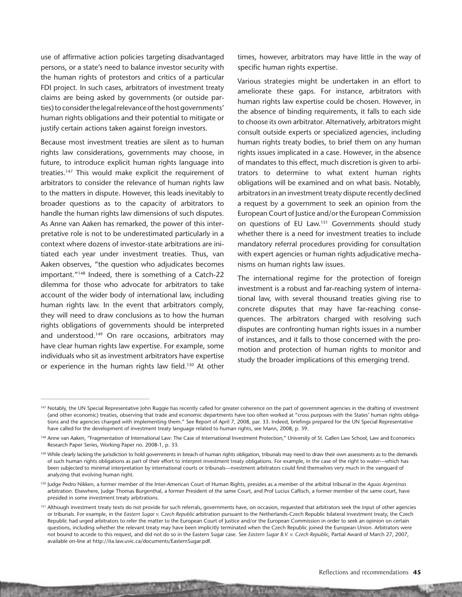use of affirmative action policies targeting disadvantaged persons, or a state's need to balance investor security with the human rights of protestors and critics of a particular FDI project. In such cases, arbitrators of investment treaty claims are being asked by governments (or outside parties) to consider the legal relevance of the host governments' human rights obligations and their potential to mitigate or justify certain actions taken against foreign investors.

Because most investment treaties are silent as to human rights law considerations, governments may choose, in future, to introduce explicit human rights language into treaties.147 This would make explicit the requirement of arbitrators to consider the relevance of human rights law to the matters in dispute. However, this leads inevitably to broader questions as to the capacity of arbitrators to handle the human rights law dimensions of such disputes. As Anne van Aaken has remarked, the power of this interpretative role is not to be underestimated particularly in a context where dozens of investor-state arbitrations are initiated each year under investment treaties. Thus, van Aaken observes, "the question who adjudicates becomes important."148 Indeed, there is something of a Catch-22 dilemma for those who advocate for arbitrators to take account of the wider body of international law, including human rights law. In the event that arbitrators comply, they will need to draw conclusions as to how the human rights obligations of governments should be interpreted and understood.<sup>149</sup> On rare occasions, arbitrators may have clear human rights law expertise. For example, some individuals who sit as investment arbitrators have expertise or experience in the human rights law field.150 At other

times, however, arbitrators may have little in the way of specific human rights expertise.

Various strategies might be undertaken in an effort to ameliorate these gaps. For instance, arbitrators with human rights law expertise could be chosen. However, in the absence of binding requirements, it falls to each side to choose its own arbitrator. Alternatively, arbitrators might consult outside experts or specialized agencies, including human rights treaty bodies, to brief them on any human rights issues implicated in a case. However, in the absence of mandates to this effect, much discretion is given to arbitrators to determine to what extent human rights obligations will be examined and on what basis. Notably, arbitrators in an investment treaty dispute recently declined a request by a government to seek an opinion from the European Court of Justice and/or the European Commission on questions of EU Law.151 Governments should study whether there is a need for investment treaties to include mandatory referral procedures providing for consultation with expert agencies or human rights adjudicative mechanisms on human rights law issues.

The international regime for the protection of foreign investment is a robust and far-reaching system of international law, with several thousand treaties giving rise to concrete disputes that may have far-reaching consequences. The arbitrators charged with resolving such disputes are confronting human rights issues in a number of instances, and it falls to those concerned with the promotion and protection of human rights to monitor and study the broader implications of this emerging trend.

<sup>147</sup> Notably, the UN Special Representative John Ruggie has recently called for greater coherence on the part of government agencies in the drafting of investment (and other economic) treaties, observing that trade and economic departments have too often worked at "cross purposes with the States' human rights obligations and the agencies charged with implementing them." See Report of April 7, 2008, par. 33. Indeed, briefings prepared for the UN Special Representative have called for the development of investment treaty language related to human rights, see Mann, 2008, p. 39.

<sup>&</sup>lt;sup>148</sup> Anne van Aaken, "Fragmentation of International Law: The Case of International Investment Protection," University of St. Gallen Law School, Law and Economics Research Paper Series, Working Paper no. 2008-1, p. 33.

<sup>149</sup> While clearly lacking the jurisdiction to hold governments in breach of human rights obligation, tribunals may need to draw their own assessments as to the demands of such human rights obligations as part of their effort to interpret investment treaty obligations. For example, in the case of the right to water—which has been subjected to minimal interpretation by international courts or tribunals—nvestment arbitrators could find themselves very much in the vanguard of analyzing that evolving human right.

<sup>&</sup>lt;sup>150</sup> Judge Pedro Nikken, a former member of the Inter-American Court of Human Rights, presides as a member of the arbitral tribunal in the Aguas Argentinas arbitration. Elsewhere, Judge Thomas Burgenthal, a former President of the same Court, and Prof Lucius Caflisch, a former member of the same court, have presided in some investment treaty arbitrations.

<sup>&</sup>lt;sup>151</sup> Although investment treaty texts do not provide for such referrals, governments have, on occasion, requested that arbitrators seek the input of other agencies or tribunals. For example, in the *Eastern Sugar v. Czech Republic* arbitration pursuant to the Netherlands-Czech Republic bilateral investment treaty, the Czech Republic had urged arbitrators to refer the matter to the European Court of Justice and/or the European Commission in order to seek an opinion on certain questions, including whether the relevant treaty may have been implicitly terminated when the Czech Republic joined the European Union. Arbitrators were not bound to accede to this request, and did not do so in the Eastern Sugar case. See *Eastern Sugar B.V. v. Czech Republic*, Partial Award of March 27, 2007, available on-line at http://ita.law.uvic.ca/documents/EasternSugar.pdf.